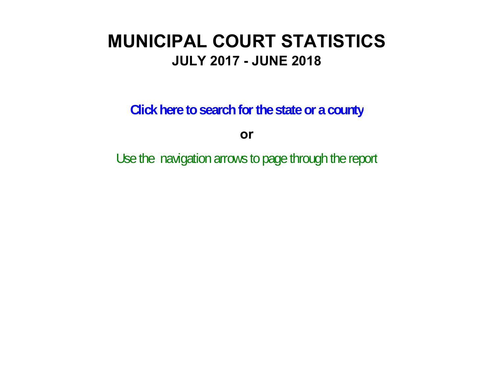# **MUNICIPAL COURT STATISTICSJULY 2017 - JUNE 2018**

**Click here to search for the state or a county**

**or**

Use the navigation arrows to page through the report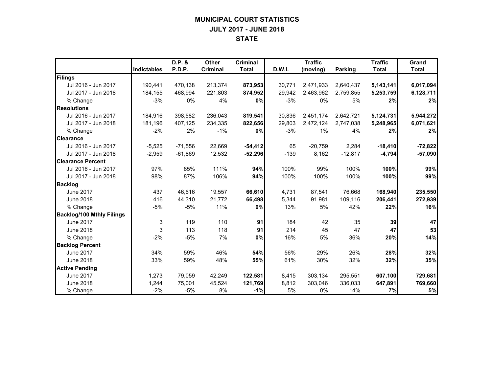## **MUNICIPAL COURT STATISTICS JULY 2017 - JUNE 2018 STATE**

|                                  |                    | D.P. &    | <b>Other</b>    | <b>Criminal</b> |        | <b>Traffic</b> |                | <b>Traffic</b> | Grand        |
|----------------------------------|--------------------|-----------|-----------------|-----------------|--------|----------------|----------------|----------------|--------------|
|                                  | <b>Indictables</b> | P.D.P.    | <b>Criminal</b> | <b>Total</b>    | D.W.I. | (moving)       | <b>Parking</b> | <b>Total</b>   | <b>Total</b> |
| Filings                          |                    |           |                 |                 |        |                |                |                |              |
| Jul 2016 - Jun 2017              | 190,441            | 470,138   | 213,374         | 873,953         | 30,771 | 2,471,933      | 2,640,437      | 5,143,141      | 6,017,094    |
| Jul 2017 - Jun 2018              | 184,155            | 468.994   | 221.803         | 874,952         | 29,942 | 2,463,962      | 2,759,855      | 5,253,759      | 6,128,711    |
| % Change                         | $-3%$              | 0%        | 4%              | 0%              | $-3%$  | 0%             | 5%             | 2%             | 2%           |
| <b>Resolutions</b>               |                    |           |                 |                 |        |                |                |                |              |
| Jul 2016 - Jun 2017              | 184.916            | 398.582   | 236,043         | 819,541         | 30,836 | 2,451,174      | 2,642,721      | 5,124,731      | 5,944,272    |
| Jul 2017 - Jun 2018              | 181,196            | 407,125   | 234,335         | 822,656         | 29,803 | 2,472,124      | 2,747,038      | 5,248,965      | 6,071,621    |
| % Change                         | $-2%$              | 2%        | $-1%$           | 0%              | $-3%$  | 1%             | 4%             | 2%             | 2%           |
| <b>Clearance</b>                 |                    |           |                 |                 |        |                |                |                |              |
| Jul 2016 - Jun 2017              | $-5,525$           | $-71,556$ | 22,669          | $-54,412$       | 65     | $-20,759$      | 2,284          | $-18,410$      | $-72,822$    |
| Jul 2017 - Jun 2018              | $-2,959$           | $-61,869$ | 12,532          | $-52,296$       | $-139$ | 8,162          | $-12,817$      | $-4,794$       | $-57,090$    |
| <b>Clearance Percent</b>         |                    |           |                 |                 |        |                |                |                |              |
| Jul 2016 - Jun 2017              | 97%                | 85%       | 111%            | 94%             | 100%   | 99%            | 100%           | 100%           | 99%          |
| Jul 2017 - Jun 2018              | 98%                | 87%       | 106%            | 94%             | 100%   | 100%           | 100%           | 100%           | 99%          |
| <b>Backlog</b>                   |                    |           |                 |                 |        |                |                |                |              |
| <b>June 2017</b>                 | 437                | 46,616    | 19,557          | 66,610          | 4,731  | 87,541         | 76,668         | 168,940        | 235,550      |
| <b>June 2018</b>                 | 416                | 44,310    | 21,772          | 66,498          | 5,344  | 91,981         | 109,116        | 206,441        | 272,939      |
| % Change                         | $-5%$              | $-5%$     | 11%             | 0%              | 13%    | 5%             | 42%            | 22%            | 16%          |
| <b>Backlog/100 Mthly Filings</b> |                    |           |                 |                 |        |                |                |                |              |
| <b>June 2017</b>                 | 3                  | 119       | 110             | 91              | 184    | 42             | 35             | 39             | 47           |
| <b>June 2018</b>                 | 3                  | 113       | 118             | 91              | 214    | 45             | 47             | 47             | 53           |
| % Change                         | $-2%$              | $-5%$     | 7%              | 0%              | 16%    | 5%             | 36%            | 20%            | 14%          |
| <b>Backlog Percent</b>           |                    |           |                 |                 |        |                |                |                |              |
| <b>June 2017</b>                 | 34%                | 59%       | 46%             | 54%             | 56%    | 29%            | 26%            | 28%            | 32%          |
| <b>June 2018</b>                 | 33%                | 59%       | 48%             | 55%             | 61%    | 30%            | 32%            | 32%            | 35%          |
| <b>Active Pending</b>            |                    |           |                 |                 |        |                |                |                |              |
| <b>June 2017</b>                 | 1,273              | 79,059    | 42,249          | 122,581         | 8,415  | 303,134        | 295,551        | 607,100        | 729,681      |
| <b>June 2018</b>                 | 1,244              | 75,001    | 45,524          | 121,769         | 8,812  | 303,046        | 336,033        | 647,891        | 769,660      |
| % Change                         | $-2%$              | $-5%$     | 8%              | $-1%$           | 5%     | $0\%$          | 14%            | 7%             | 5%           |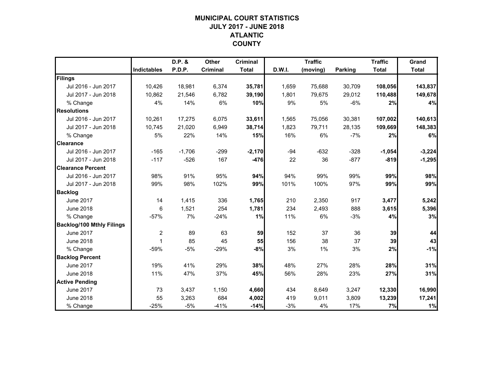# **MUNICIPAL COURT STATISTICSJULY 2017 - JUNE 2018 ATLANTIC COUNTY**

|                                  |                    | D.P. &   | <b>Other</b>    | <b>Criminal</b> |        | <b>Traffic</b> |                | <b>Traffic</b> | Grand        |
|----------------------------------|--------------------|----------|-----------------|-----------------|--------|----------------|----------------|----------------|--------------|
|                                  | <b>Indictables</b> | P.D.P.   | <b>Criminal</b> | <b>Total</b>    | D.W.I. | (moving)       | <b>Parking</b> | <b>Total</b>   | <b>Total</b> |
| Filings                          |                    |          |                 |                 |        |                |                |                |              |
| Jul 2016 - Jun 2017              | 10,426             | 18,981   | 6,374           | 35,781          | 1,659  | 75,688         | 30,709         | 108,056        | 143,837      |
| Jul 2017 - Jun 2018              | 10,862             | 21,546   | 6,782           | 39,190          | 1,801  | 79,675         | 29,012         | 110,488        | 149,678      |
| % Change                         | 4%                 | 14%      | 6%              | 10%             | 9%     | 5%             | $-6%$          | 2%             | 4%           |
| <b>Resolutions</b>               |                    |          |                 |                 |        |                |                |                |              |
| Jul 2016 - Jun 2017              | 10,261             | 17,275   | 6,075           | 33,611          | 1,565  | 75,056         | 30,381         | 107,002        | 140,613      |
| Jul 2017 - Jun 2018              | 10.745             | 21,020   | 6,949           | 38,714          | 1,823  | 79,711         | 28,135         | 109,669        | 148,383      |
| % Change                         | 5%                 | 22%      | 14%             | 15%             | 16%    | 6%             | $-7%$          | 2%             | 6%           |
| <b>Clearance</b>                 |                    |          |                 |                 |        |                |                |                |              |
| Jul 2016 - Jun 2017              | $-165$             | $-1,706$ | $-299$          | $-2,170$        | $-94$  | $-632$         | $-328$         | $-1,054$       | $-3,224$     |
| Jul 2017 - Jun 2018              | $-117$             | $-526$   | 167             | $-476$          | 22     | 36             | $-877$         | $-819$         | $-1,295$     |
| <b>Clearance Percent</b>         |                    |          |                 |                 |        |                |                |                |              |
| Jul 2016 - Jun 2017              | 98%                | 91%      | 95%             | 94%             | 94%    | 99%            | 99%            | 99%            | 98%          |
| Jul 2017 - Jun 2018              | 99%                | 98%      | 102%            | 99%             | 101%   | 100%           | 97%            | 99%            | 99%          |
| <b>Backlog</b>                   |                    |          |                 |                 |        |                |                |                |              |
| <b>June 2017</b>                 | 14                 | 1,415    | 336             | 1,765           | 210    | 2,350          | 917            | 3,477          | 5,242        |
| <b>June 2018</b>                 | 6                  | 1,521    | 254             | 1,781           | 234    | 2,493          | 888            | 3,615          | 5,396        |
| % Change                         | $-57%$             | 7%       | $-24%$          | 1%              | 11%    | 6%             | $-3%$          | 4%             | 3%           |
| <b>Backlog/100 Mthly Filings</b> |                    |          |                 |                 |        |                |                |                |              |
| <b>June 2017</b>                 | $\overline{2}$     | 89       | 63              | 59              | 152    | 37             | 36             | 39             | 44           |
| <b>June 2018</b>                 | $\mathbf{1}$       | 85       | 45              | 55              | 156    | 38             | 37             | 39             | 43           |
| % Change                         | $-59%$             | $-5%$    | $-29%$          | $-8%$           | 3%     | 1%             | 3%             | 2%             | $-1%$        |
| <b>Backlog Percent</b>           |                    |          |                 |                 |        |                |                |                |              |
| <b>June 2017</b>                 | 19%                | 41%      | 29%             | 38%             | 48%    | 27%            | 28%            | 28%            | 31%          |
| <b>June 2018</b>                 | 11%                | 47%      | 37%             | 45%             | 56%    | 28%            | 23%            | 27%            | 31%          |
| <b>Active Pending</b>            |                    |          |                 |                 |        |                |                |                |              |
| <b>June 2017</b>                 | 73                 | 3,437    | 1,150           | 4,660           | 434    | 8,649          | 3,247          | 12,330         | 16,990       |
| <b>June 2018</b>                 | 55                 | 3,263    | 684             | 4,002           | 419    | 9,011          | 3,809          | 13,239         | 17,241       |
| % Change                         | $-25%$             | $-5%$    | $-41%$          | $-14%$          | $-3%$  | 4%             | 17%            | 7%             | 1%           |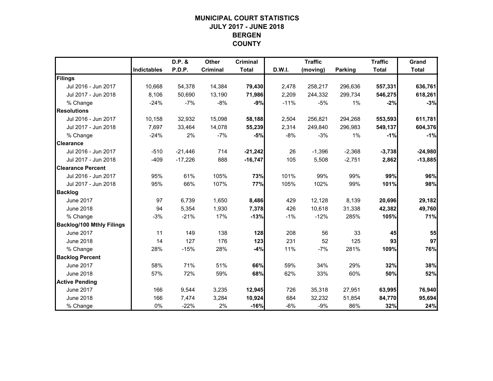## **MUNICIPAL COURT STATISTICSJULY 2017 - JUNE 2018 BERGEN COUNTY**

|                                  |             | D.P. &    | <b>Other</b>    | <b>Criminal</b> |        | <b>Traffic</b> |                | <b>Traffic</b> | Grand        |
|----------------------------------|-------------|-----------|-----------------|-----------------|--------|----------------|----------------|----------------|--------------|
|                                  | Indictables | P.D.P.    | <b>Criminal</b> | <b>Total</b>    | D.W.I. | (moving)       | <b>Parking</b> | <b>Total</b>   | <b>Total</b> |
| Filings                          |             |           |                 |                 |        |                |                |                |              |
| Jul 2016 - Jun 2017              | 10,668      | 54,378    | 14,384          | 79,430          | 2,478  | 258,217        | 296,636        | 557,331        | 636,761      |
| Jul 2017 - Jun 2018              | 8,106       | 50,690    | 13,190          | 71,986          | 2,209  | 244,332        | 299,734        | 546,275        | 618,261      |
| % Change                         | $-24%$      | $-7%$     | $-8%$           | $-9%$           | $-11%$ | $-5%$          | $1\%$          | $-2%$          | $-3%$        |
| <b>Resolutions</b>               |             |           |                 |                 |        |                |                |                |              |
| Jul 2016 - Jun 2017              | 10,158      | 32,932    | 15,098          | 58,188          | 2,504  | 256,821        | 294,268        | 553,593        | 611,781      |
| Jul 2017 - Jun 2018              | 7,697       | 33,464    | 14,078          | 55,239          | 2,314  | 249,840        | 296,983        | 549,137        | 604,376      |
| % Change                         | $-24%$      | 2%        | $-7%$           | $-5%$           | $-8%$  | $-3%$          | 1%             | $-1%$          | $-1%$        |
| <b>Clearance</b>                 |             |           |                 |                 |        |                |                |                |              |
| Jul 2016 - Jun 2017              | $-510$      | $-21,446$ | 714             | $-21,242$       | 26     | $-1,396$       | $-2,368$       | $-3,738$       | $-24,980$    |
| Jul 2017 - Jun 2018              | $-409$      | $-17,226$ | 888             | $-16,747$       | 105    | 5,508          | $-2,751$       | 2,862          | $-13,885$    |
| <b>Clearance Percent</b>         |             |           |                 |                 |        |                |                |                |              |
| Jul 2016 - Jun 2017              | 95%         | 61%       | 105%            | 73%             | 101%   | 99%            | 99%            | 99%            | 96%          |
| Jul 2017 - Jun 2018              | 95%         | 66%       | 107%            | 77%             | 105%   | 102%           | 99%            | 101%           | 98%          |
| <b>Backlog</b>                   |             |           |                 |                 |        |                |                |                |              |
| <b>June 2017</b>                 | 97          | 6,739     | 1,650           | 8,486           | 429    | 12,128         | 8,139          | 20,696         | 29,182       |
| <b>June 2018</b>                 | 94          | 5,354     | 1,930           | 7,378           | 426    | 10,618         | 31,338         | 42,382         | 49,760       |
| % Change                         | $-3%$       | $-21%$    | 17%             | $-13%$          | $-1%$  | $-12%$         | 285%           | 105%           | 71%          |
| <b>Backlog/100 Mthly Filings</b> |             |           |                 |                 |        |                |                |                |              |
| <b>June 2017</b>                 | 11          | 149       | 138             | 128             | 208    | 56             | 33             | 45             | 55           |
| <b>June 2018</b>                 | 14          | 127       | 176             | 123             | 231    | 52             | 125            | 93             | 97           |
| % Change                         | 28%         | $-15%$    | 28%             | $-4%$           | 11%    | $-7%$          | 281%           | 109%           | 76%          |
| <b>Backlog Percent</b>           |             |           |                 |                 |        |                |                |                |              |
| <b>June 2017</b>                 | 58%         | 71%       | 51%             | 66%             | 59%    | 34%            | 29%            | 32%            | 38%          |
| <b>June 2018</b>                 | 57%         | 72%       | 59%             | 68%             | 62%    | 33%            | 60%            | 50%            | 52%          |
| <b>Active Pending</b>            |             |           |                 |                 |        |                |                |                |              |
| <b>June 2017</b>                 | 166         | 9,544     | 3,235           | 12,945          | 726    | 35,318         | 27,951         | 63,995         | 76,940       |
| <b>June 2018</b>                 | 166         | 7,474     | 3,284           | 10,924          | 684    | 32,232         | 51,854         | 84,770         | 95,694       |
| % Change                         | 0%          | $-22%$    | 2%              | $-16%$          | $-6%$  | $-9%$          | 86%            | 32%            | 24%          |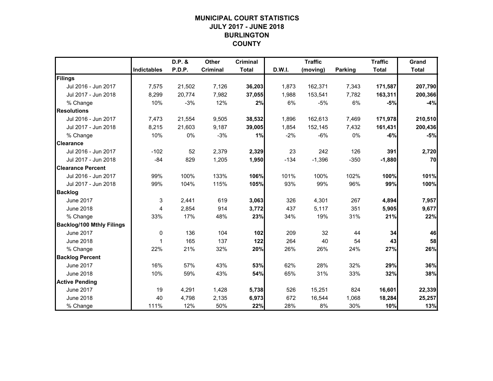# **MUNICIPAL COURT STATISTICSJULY 2017 - JUNE 2018 BURLINGTON COUNTY**

|                                  |                    | D.P. & | Other    | <b>Criminal</b> |        | <b>Traffic</b> |                | <b>Traffic</b> | Grand        |
|----------------------------------|--------------------|--------|----------|-----------------|--------|----------------|----------------|----------------|--------------|
|                                  | <b>Indictables</b> | P.D.P. | Criminal | <b>Total</b>    | D.W.I. | (moving)       | <b>Parking</b> | <b>Total</b>   | <b>Total</b> |
| Filings                          |                    |        |          |                 |        |                |                |                |              |
| Jul 2016 - Jun 2017              | 7,575              | 21,502 | 7,126    | 36,203          | 1,873  | 162,371        | 7,343          | 171,587        | 207,790      |
| Jul 2017 - Jun 2018              | 8,299              | 20,774 | 7,982    | 37,055          | 1,988  | 153,541        | 7,782          | 163,311        | 200,366      |
| % Change                         | 10%                | $-3%$  | 12%      | 2%              | 6%     | $-5%$          | 6%             | $-5%$          | $-4%$        |
| <b>Resolutions</b>               |                    |        |          |                 |        |                |                |                |              |
| Jul 2016 - Jun 2017              | 7,473              | 21,554 | 9,505    | 38,532          | 1.896  | 162,613        | 7,469          | 171,978        | 210,510      |
| Jul 2017 - Jun 2018              | 8,215              | 21,603 | 9,187    | 39,005          | 1,854  | 152,145        | 7,432          | 161,431        | 200,436      |
| % Change                         | 10%                | 0%     | $-3%$    | 1%              | $-2%$  | $-6%$          | 0%             | $-6%$          | $-5%$        |
| <b>Clearance</b>                 |                    |        |          |                 |        |                |                |                |              |
| Jul 2016 - Jun 2017              | $-102$             | 52     | 2,379    | 2,329           | 23     | 242            | 126            | 391            | 2,720        |
| Jul 2017 - Jun 2018              | $-84$              | 829    | 1,205    | 1,950           | $-134$ | $-1,396$       | $-350$         | $-1,880$       | 70           |
| <b>Clearance Percent</b>         |                    |        |          |                 |        |                |                |                |              |
| Jul 2016 - Jun 2017              | 99%                | 100%   | 133%     | 106%            | 101%   | 100%           | 102%           | 100%           | 101%         |
| Jul 2017 - Jun 2018              | 99%                | 104%   | 115%     | 105%            | 93%    | 99%            | 96%            | 99%            | 100%         |
| <b>Backlog</b>                   |                    |        |          |                 |        |                |                |                |              |
| <b>June 2017</b>                 | 3                  | 2,441  | 619      | 3,063           | 326    | 4,301          | 267            | 4,894          | 7,957        |
| <b>June 2018</b>                 | 4                  | 2,854  | 914      | 3,772           | 437    | 5,117          | 351            | 5,905          | 9,677        |
| % Change                         | 33%                | 17%    | 48%      | 23%             | 34%    | 19%            | 31%            | 21%            | 22%          |
| <b>Backlog/100 Mthly Filings</b> |                    |        |          |                 |        |                |                |                |              |
| <b>June 2017</b>                 | 0                  | 136    | 104      | 102             | 209    | 32             | 44             | 34             | 46           |
| <b>June 2018</b>                 | $\mathbf 1$        | 165    | 137      | $122$           | 264    | 40             | 54             | 43             | 58           |
| % Change                         | 22%                | 21%    | 32%      | 20%             | 26%    | 26%            | 24%            | 27%            | 26%          |
| <b>Backlog Percent</b>           |                    |        |          |                 |        |                |                |                |              |
| <b>June 2017</b>                 | 16%                | 57%    | 43%      | 53%             | 62%    | 28%            | 32%            | 29%            | 36%          |
| <b>June 2018</b>                 | 10%                | 59%    | 43%      | 54%             | 65%    | 31%            | 33%            | 32%            | 38%          |
| <b>Active Pending</b>            |                    |        |          |                 |        |                |                |                |              |
| <b>June 2017</b>                 | 19                 | 4,291  | 1,428    | 5,738           | 526    | 15,251         | 824            | 16,601         | 22,339       |
| <b>June 2018</b>                 | 40                 | 4,798  | 2,135    | 6,973           | 672    | 16,544         | 1,068          | 18,284         | 25,257       |
| % Change                         | 111%               | 12%    | 50%      | 22%             | 28%    | 8%             | 30%            | 10%            | 13%          |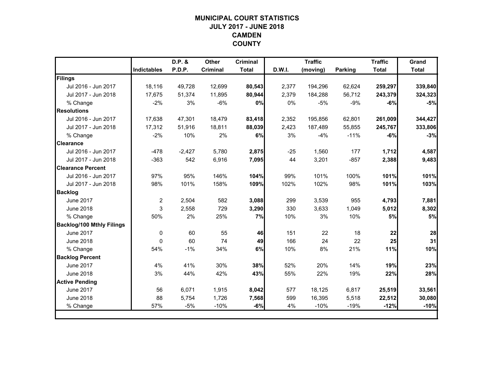# **MUNICIPAL COURT STATISTICSJULY 2017 - JUNE 2018 CAMDEN COUNTY**

|                                  |                    | D.P. &   | <b>Other</b>    | <b>Criminal</b> |        | <b>Traffic</b> |                | <b>Traffic</b> | Grand        |
|----------------------------------|--------------------|----------|-----------------|-----------------|--------|----------------|----------------|----------------|--------------|
|                                  | <b>Indictables</b> | P.D.P.   | <b>Criminal</b> | <b>Total</b>    | D.W.I. | (moving)       | <b>Parking</b> | <b>Total</b>   | <b>Total</b> |
| Filings                          |                    |          |                 |                 |        |                |                |                |              |
| Jul 2016 - Jun 2017              | 18,116             | 49,728   | 12,699          | 80,543          | 2,377  | 194,296        | 62,624         | 259,297        | 339,840      |
| Jul 2017 - Jun 2018              | 17,675             | 51,374   | 11,895          | 80,944          | 2,379  | 184,288        | 56,712         | 243,379        | 324,323      |
| % Change                         | $-2%$              | 3%       | $-6%$           | 0%              | 0%     | $-5%$          | $-9%$          | $-6%$          | $-5%$        |
| <b>Resolutions</b>               |                    |          |                 |                 |        |                |                |                |              |
| Jul 2016 - Jun 2017              | 17,638             | 47,301   | 18,479          | 83,418          | 2,352  | 195,856        | 62,801         | 261,009        | 344,427      |
| Jul 2017 - Jun 2018              | 17.312             | 51,916   | 18,811          | 88,039          | 2,423  | 187,489        | 55,855         | 245,767        | 333,806      |
| % Change                         | $-2%$              | 10%      | 2%              | 6%              | 3%     | $-4%$          | $-11%$         | $-6%$          | $-3%$        |
| <b>Clearance</b>                 |                    |          |                 |                 |        |                |                |                |              |
| Jul 2016 - Jun 2017              | $-478$             | $-2,427$ | 5,780           | 2,875           | $-25$  | 1,560          | 177            | 1,712          | 4,587        |
| Jul 2017 - Jun 2018              | $-363$             | 542      | 6,916           | 7,095           | 44     | 3,201          | $-857$         | 2,388          | 9,483        |
| <b>Clearance Percent</b>         |                    |          |                 |                 |        |                |                |                |              |
| Jul 2016 - Jun 2017              | 97%                | 95%      | 146%            | 104%            | 99%    | 101%           | 100%           | 101%           | 101%         |
| Jul 2017 - Jun 2018              | 98%                | 101%     | 158%            | 109%            | 102%   | 102%           | 98%            | 101%           | 103%         |
| <b>Backlog</b>                   |                    |          |                 |                 |        |                |                |                |              |
| <b>June 2017</b>                 | $\overline{c}$     | 2,504    | 582             | 3,088           | 299    | 3,539          | 955            | 4,793          | 7,881        |
| <b>June 2018</b>                 | 3                  | 2,558    | 729             | 3,290           | 330    | 3,633          | 1,049          | 5,012          | 8,302        |
| % Change                         | 50%                | 2%       | 25%             | 7%              | 10%    | 3%             | 10%            | 5%             | 5%           |
| <b>Backlog/100 Mthly Filings</b> |                    |          |                 |                 |        |                |                |                |              |
| <b>June 2017</b>                 | 0                  | 60       | 55              | 46              | 151    | 22             | 18             | 22             | 28           |
| <b>June 2018</b>                 | $\Omega$           | 60       | 74              | 49              | 166    | 24             | 22             | 25             | 31           |
| % Change                         | 54%                | $-1%$    | 34%             | 6%              | 10%    | 8%             | 21%            | 11%            | 10%          |
| <b>Backlog Percent</b>           |                    |          |                 |                 |        |                |                |                |              |
| <b>June 2017</b>                 | 4%                 | 41%      | 30%             | 38%             | 52%    | 20%            | 14%            | 19%            | 23%          |
| <b>June 2018</b>                 | 3%                 | 44%      | 42%             | 43%             | 55%    | 22%            | 19%            | 22%            | 28%          |
| <b>Active Pending</b>            |                    |          |                 |                 |        |                |                |                |              |
| <b>June 2017</b>                 | 56                 | 6,071    | 1,915           | 8,042           | 577    | 18,125         | 6,817          | 25,519         | 33,561       |
| <b>June 2018</b>                 | 88                 | 5,754    | 1,726           | 7,568           | 599    | 16,395         | 5,518          | 22,512         | 30,080       |
| % Change                         | 57%                | $-5%$    | $-10%$          | $-6%$           | 4%     | $-10%$         | $-19%$         | $-12%$         | $-10%$       |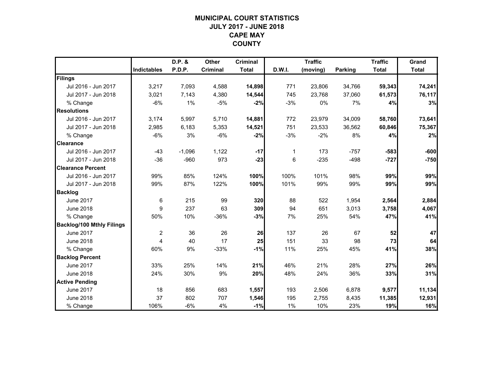## **MUNICIPAL COURT STATISTICSJULY 2017 - JUNE 2018 CAPE MAY COUNTY**

|                                  |                    | D.P. &   | <b>Other</b>    | <b>Criminal</b> |        | <b>Traffic</b> |         | <b>Traffic</b> | Grand        |
|----------------------------------|--------------------|----------|-----------------|-----------------|--------|----------------|---------|----------------|--------------|
|                                  | <b>Indictables</b> | P.D.P.   | <b>Criminal</b> | <b>Total</b>    | D.W.I. | (moving)       | Parking | <b>Total</b>   | <b>Total</b> |
| Filings                          |                    |          |                 |                 |        |                |         |                |              |
| Jul 2016 - Jun 2017              | 3,217              | 7,093    | 4,588           | 14,898          | 771    | 23,806         | 34,766  | 59,343         | 74,241       |
| Jul 2017 - Jun 2018              | 3,021              | 7,143    | 4,380           | 14,544          | 745    | 23,768         | 37,060  | 61,573         | 76,117       |
| % Change                         | $-6%$              | 1%       | $-5%$           | $-2%$           | $-3%$  | 0%             | 7%      | 4%             | 3%           |
| <b>Resolutions</b>               |                    |          |                 |                 |        |                |         |                |              |
| Jul 2016 - Jun 2017              | 3,174              | 5,997    | 5,710           | 14,881          | 772    | 23,979         | 34,009  | 58,760         | 73,641       |
| Jul 2017 - Jun 2018              | 2,985              | 6,183    | 5,353           | 14,521          | 751    | 23,533         | 36,562  | 60,846         | 75,367       |
| % Change                         | $-6%$              | 3%       | $-6%$           | $-2%$           | $-3%$  | $-2%$          | 8%      | 4%             | 2%           |
| <b>Clearance</b>                 |                    |          |                 |                 |        |                |         |                |              |
| Jul 2016 - Jun 2017              | $-43$              | $-1,096$ | 1,122           | $-17$           | 1      | 173            | $-757$  | $-583$         | $-600$       |
| Jul 2017 - Jun 2018              | $-36$              | $-960$   | 973             | $-23$           | 6      | $-235$         | $-498$  | $-727$         | $-750$       |
| <b>Clearance Percent</b>         |                    |          |                 |                 |        |                |         |                |              |
| Jul 2016 - Jun 2017              | 99%                | 85%      | 124%            | 100%            | 100%   | 101%           | 98%     | 99%            | 99%          |
| Jul 2017 - Jun 2018              | 99%                | 87%      | 122%            | 100%            | 101%   | 99%            | 99%     | 99%            | 99%          |
| <b>Backlog</b>                   |                    |          |                 |                 |        |                |         |                |              |
| <b>June 2017</b>                 | 6                  | 215      | 99              | 320             | 88     | 522            | 1,954   | 2,564          | 2,884        |
| <b>June 2018</b>                 | 9                  | 237      | 63              | 309             | 94     | 651            | 3,013   | 3,758          | 4,067        |
| % Change                         | 50%                | 10%      | $-36%$          | $-3%$           | 7%     | 25%            | 54%     | 47%            | 41%          |
| <b>Backlog/100 Mthly Filings</b> |                    |          |                 |                 |        |                |         |                |              |
| <b>June 2017</b>                 | $\overline{c}$     | 36       | 26              | 26              | 137    | 26             | 67      | 52             | 47           |
| <b>June 2018</b>                 | 4                  | 40       | 17              | 25              | 151    | 33             | 98      | 73             | 64           |
| % Change                         | 60%                | 9%       | $-33%$          | $-1%$           | 11%    | 25%            | 45%     | 41%            | 38%          |
| <b>Backlog Percent</b>           |                    |          |                 |                 |        |                |         |                |              |
| <b>June 2017</b>                 | 33%                | 25%      | 14%             | 21%             | 46%    | 21%            | 28%     | 27%            | 26%          |
| <b>June 2018</b>                 | 24%                | 30%      | 9%              | 20%             | 48%    | 24%            | 36%     | 33%            | 31%          |
| <b>Active Pending</b>            |                    |          |                 |                 |        |                |         |                |              |
| <b>June 2017</b>                 | 18                 | 856      | 683             | 1,557           | 193    | 2,506          | 6,878   | 9,577          | 11,134       |
| <b>June 2018</b>                 | 37                 | 802      | 707             | 1,546           | 195    | 2,755          | 8,435   | 11,385         | 12,931       |
| % Change                         | 106%               | $-6%$    | 4%              | $-1%$           | 1%     | 10%            | 23%     | 19%            | 16%          |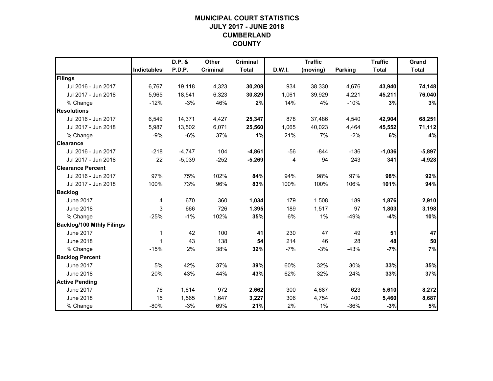# **MUNICIPAL COURT STATISTICSJULY 2017 - JUNE 2018 CUMBERLAND COUNTY**

|                                  |                    | D.P. &   | <b>Other</b> | <b>Criminal</b> |        | <b>Traffic</b> |                | <b>Traffic</b> | Grand        |
|----------------------------------|--------------------|----------|--------------|-----------------|--------|----------------|----------------|----------------|--------------|
|                                  | <b>Indictables</b> | P.D.P.   | Criminal     | <b>Total</b>    | D.W.I. | (moving)       | <b>Parking</b> | <b>Total</b>   | <b>Total</b> |
| Filings                          |                    |          |              |                 |        |                |                |                |              |
| Jul 2016 - Jun 2017              | 6,767              | 19,118   | 4,323        | 30,208          | 934    | 38,330         | 4,676          | 43,940         | 74,148       |
| Jul 2017 - Jun 2018              | 5,965              | 18,541   | 6,323        | 30,829          | 1,061  | 39,929         | 4,221          | 45,211         | 76,040       |
| % Change                         | $-12%$             | $-3%$    | 46%          | 2%              | 14%    | 4%             | $-10%$         | 3%             | 3%           |
| <b>Resolutions</b>               |                    |          |              |                 |        |                |                |                |              |
| Jul 2016 - Jun 2017              | 6,549              | 14,371   | 4,427        | 25,347          | 878    | 37,486         | 4,540          | 42,904         | 68,251       |
| Jul 2017 - Jun 2018              | 5,987              | 13,502   | 6,071        | 25,560          | 1,065  | 40,023         | 4,464          | 45,552         | 71,112       |
| % Change                         | $-9%$              | $-6%$    | 37%          | 1%              | 21%    | 7%             | $-2%$          | 6%             | 4%           |
| <b>Clearance</b>                 |                    |          |              |                 |        |                |                |                |              |
| Jul 2016 - Jun 2017              | $-218$             | $-4,747$ | 104          | $-4,861$        | $-56$  | $-844$         | $-136$         | $-1,036$       | $-5,897$     |
| Jul 2017 - Jun 2018              | 22                 | $-5,039$ | $-252$       | $-5,269$        | 4      | 94             | 243            | 341            | $-4,928$     |
| <b>Clearance Percent</b>         |                    |          |              |                 |        |                |                |                |              |
| Jul 2016 - Jun 2017              | 97%                | 75%      | 102%         | 84%             | 94%    | 98%            | 97%            | 98%            | 92%          |
| Jul 2017 - Jun 2018              | 100%               | 73%      | 96%          | 83%             | 100%   | 100%           | 106%           | 101%           | 94%          |
| <b>Backlog</b>                   |                    |          |              |                 |        |                |                |                |              |
| <b>June 2017</b>                 | 4                  | 670      | 360          | 1,034           | 179    | 1,508          | 189            | 1,876          | 2,910        |
| <b>June 2018</b>                 | 3                  | 666      | 726          | 1,395           | 189    | 1,517          | 97             | 1,803          | 3,198        |
| % Change                         | $-25%$             | $-1%$    | 102%         | 35%             | 6%     | 1%             | $-49%$         | $-4%$          | 10%          |
| <b>Backlog/100 Mthly Filings</b> |                    |          |              |                 |        |                |                |                |              |
| <b>June 2017</b>                 | $\mathbf 1$        | 42       | 100          | 41              | 230    | 47             | 49             | 51             | 47           |
| <b>June 2018</b>                 | $\overline{1}$     | 43       | 138          | 54              | 214    | 46             | 28             | 48             | 50           |
| % Change                         | $-15%$             | 2%       | 38%          | 32%             | $-7%$  | $-3%$          | $-43%$         | $-7%$          | 7%           |
| <b>Backlog Percent</b>           |                    |          |              |                 |        |                |                |                |              |
| <b>June 2017</b>                 | 5%                 | 42%      | 37%          | 39%             | 60%    | 32%            | 30%            | 33%            | 35%          |
| <b>June 2018</b>                 | 20%                | 43%      | 44%          | 43%             | 62%    | 32%            | 24%            | 33%            | 37%          |
| <b>Active Pending</b>            |                    |          |              |                 |        |                |                |                |              |
| <b>June 2017</b>                 | 76                 | 1,614    | 972          | 2,662           | 300    | 4,687          | 623            | 5,610          | 8,272        |
| <b>June 2018</b>                 | 15                 | 1,565    | 1,647        | 3,227           | 306    | 4,754          | 400            | 5,460          | 8,687        |
| % Change                         | $-80%$             | $-3%$    | 69%          | 21%             | 2%     | $1\%$          | $-36%$         | $-3%$          | 5%           |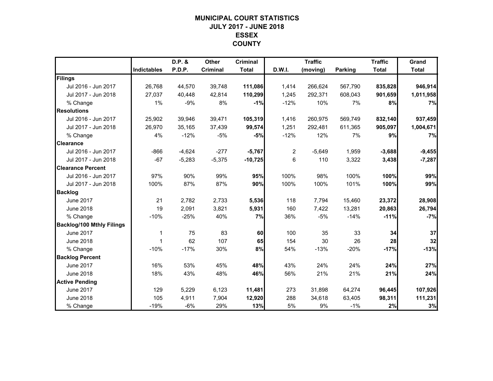## **MUNICIPAL COURT STATISTICSJULY 2017 - JUNE 2018 ESSEX COUNTY**

|                                  |                    | D.P. &   | Other    | <b>Criminal</b> |                | <b>Traffic</b> |                | <b>Traffic</b> | Grand        |
|----------------------------------|--------------------|----------|----------|-----------------|----------------|----------------|----------------|----------------|--------------|
|                                  | <b>Indictables</b> | P.D.P.   | Criminal | <b>Total</b>    | D.W.I.         | (moving)       | <b>Parking</b> | <b>Total</b>   | <b>Total</b> |
| Filings                          |                    |          |          |                 |                |                |                |                |              |
| Jul 2016 - Jun 2017              | 26,768             | 44,570   | 39,748   | 111,086         | 1,414          | 266,624        | 567,790        | 835,828        | 946,914      |
| Jul 2017 - Jun 2018              | 27,037             | 40,448   | 42,814   | 110,299         | 1,245          | 292,371        | 608,043        | 901,659        | 1,011,958    |
| % Change                         | 1%                 | $-9%$    | 8%       | $-1%$           | $-12%$         | 10%            | 7%             | 8%             | 7%           |
| <b>Resolutions</b>               |                    |          |          |                 |                |                |                |                |              |
| Jul 2016 - Jun 2017              | 25,902             | 39,946   | 39,471   | 105,319         | 1,416          | 260,975        | 569,749        | 832,140        | 937,459      |
| Jul 2017 - Jun 2018              | 26,970             | 35,165   | 37,439   | 99,574          | 1,251          | 292,481        | 611,365        | 905,097        | 1,004,671    |
| % Change                         | 4%                 | $-12%$   | $-5%$    | $-5%$           | $-12%$         | 12%            | 7%             | 9%             | 7%           |
| <b>Clearance</b>                 |                    |          |          |                 |                |                |                |                |              |
| Jul 2016 - Jun 2017              | $-866$             | $-4,624$ | $-277$   | $-5,767$        | $\overline{c}$ | $-5,649$       | 1,959          | $-3,688$       | $-9,455$     |
| Jul 2017 - Jun 2018              | $-67$              | $-5,283$ | $-5,375$ | $-10,725$       | 6              | 110            | 3,322          | 3,438          | $-7,287$     |
| <b>Clearance Percent</b>         |                    |          |          |                 |                |                |                |                |              |
| Jul 2016 - Jun 2017              | 97%                | 90%      | 99%      | 95%             | 100%           | 98%            | 100%           | 100%           | 99%          |
| Jul 2017 - Jun 2018              | 100%               | 87%      | 87%      | 90%             | 100%           | 100%           | 101%           | 100%           | 99%          |
| <b>Backlog</b>                   |                    |          |          |                 |                |                |                |                |              |
| June 2017                        | 21                 | 2,782    | 2,733    | 5,536           | 118            | 7,794          | 15,460         | 23,372         | 28,908       |
| <b>June 2018</b>                 | 19                 | 2,091    | 3,821    | 5,931           | 160            | 7,422          | 13,281         | 20,863         | 26,794       |
| % Change                         | $-10%$             | $-25%$   | 40%      | 7%              | 36%            | $-5%$          | $-14%$         | $-11%$         | $-7%$        |
| <b>Backlog/100 Mthly Filings</b> |                    |          |          |                 |                |                |                |                |              |
| <b>June 2017</b>                 | 1                  | 75       | 83       | 60              | 100            | 35             | 33             | 34             | 37           |
| <b>June 2018</b>                 | $\mathbf 1$        | 62       | 107      | 65              | 154            | 30             | 26             | 28             | 32           |
| % Change                         | $-10%$             | $-17%$   | 30%      | 8%              | 54%            | $-13%$         | $-20%$         | $-17%$         | $-13%$       |
| <b>Backlog Percent</b>           |                    |          |          |                 |                |                |                |                |              |
| <b>June 2017</b>                 | 16%                | 53%      | 45%      | 48%             | 43%            | 24%            | 24%            | 24%            | 27%          |
| <b>June 2018</b>                 | 18%                | 43%      | 48%      | 46%             | 56%            | 21%            | 21%            | 21%            | 24%          |
| <b>Active Pending</b>            |                    |          |          |                 |                |                |                |                |              |
| <b>June 2017</b>                 | 129                | 5,229    | 6,123    | 11,481          | 273            | 31.898         | 64,274         | 96,445         | 107,926      |
| <b>June 2018</b>                 | 105                | 4,911    | 7,904    | 12,920          | 288            | 34,618         | 63,405         | 98,311         | 111,231      |
| % Change                         | $-19%$             | -6%      | 29%      | 13%             | 5%             | 9%             | $-1%$          | 2%             | 3%           |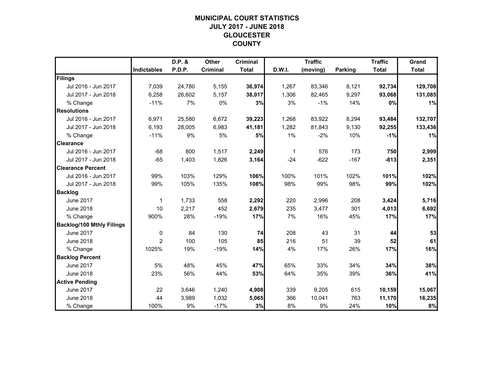# **MUNICIPAL COURT STATISTICSJULY 2017 - JUNE 2018 GLOUCESTER COUNTY**

|                                  |                    | D.P. & | <b>Other</b> | <b>Criminal</b> |        | <b>Traffic</b> |                | <b>Traffic</b> | Grand        |
|----------------------------------|--------------------|--------|--------------|-----------------|--------|----------------|----------------|----------------|--------------|
|                                  | <b>Indictables</b> | P.D.P. | Criminal     | <b>Total</b>    | D.W.I. | (moving)       | <b>Parking</b> | <b>Total</b>   | <b>Total</b> |
| Filings                          |                    |        |              |                 |        |                |                |                |              |
| Jul 2016 - Jun 2017              | 7,039              | 24,780 | 5,155        | 36,974          | 1,267  | 83,346         | 8,121          | 92,734         | 129,708      |
| Jul 2017 - Jun 2018              | 6,258              | 26,602 | 5,157        | 38,017          | 1,306  | 82,465         | 9,297          | 93,068         | 131,085      |
| % Change                         | $-11%$             | 7%     | 0%           | 3%              | 3%     | $-1%$          | 14%            | 0%             | 1%           |
| <b>Resolutions</b>               |                    |        |              |                 |        |                |                |                |              |
| Jul 2016 - Jun 2017              | 6,971              | 25,580 | 6,672        | 39,223          | 1,268  | 83,922         | 8,294          | 93,484         | 132,707      |
| Jul 2017 - Jun 2018              | 6,193              | 28,005 | 6,983        | 41,181          | 1,282  | 81,843         | 9,130          | 92,255         | 133,436      |
| % Change                         | $-11%$             | 9%     | 5%           | 5%              | 1%     | $-2%$          | 10%            | $-1%$          | 1%           |
| <b>Clearance</b>                 |                    |        |              |                 |        |                |                |                |              |
| Jul 2016 - Jun 2017              | $-68$              | 800    | 1,517        | 2,249           | 1      | 576            | 173            | 750            | 2,999        |
| Jul 2017 - Jun 2018              | $-65$              | 1,403  | 1,826        | 3,164           | $-24$  | $-622$         | $-167$         | $-813$         | 2,351        |
| <b>Clearance Percent</b>         |                    |        |              |                 |        |                |                |                |              |
| Jul 2016 - Jun 2017              | 99%                | 103%   | 129%         | 106%            | 100%   | 101%           | 102%           | 101%           | 102%         |
| Jul 2017 - Jun 2018              | 99%                | 105%   | 135%         | 108%            | 98%    | 99%            | 98%            | 99%            | 102%         |
| <b>Backlog</b>                   |                    |        |              |                 |        |                |                |                |              |
| <b>June 2017</b>                 | 1                  | 1,733  | 558          | 2,292           | 220    | 2,996          | 208            | 3,424          | 5,716        |
| <b>June 2018</b>                 | 10                 | 2,217  | 452          | 2,679           | 235    | 3,477          | 301            | 4,013          | 6,692        |
| % Change                         | 900%               | 28%    | $-19%$       | 17%             | 7%     | 16%            | 45%            | 17%            | 17%          |
| <b>Backlog/100 Mthly Filings</b> |                    |        |              |                 |        |                |                |                |              |
| <b>June 2017</b>                 | $\mathbf 0$        | 84     | 130          | 74              | 208    | 43             | 31             | 44             | 53           |
| <b>June 2018</b>                 | $\overline{2}$     | 100    | 105          | 85              | 216    | 51             | 39             | 52             | 61           |
| % Change                         | 1025%              | 19%    | $-19%$       | 14%             | 4%     | 17%            | 26%            | 17%            | 16%          |
| <b>Backlog Percent</b>           |                    |        |              |                 |        |                |                |                |              |
| <b>June 2017</b>                 | 5%                 | 48%    | 45%          | 47%             | 65%    | 33%            | 34%            | 34%            | 38%          |
| <b>June 2018</b>                 | 23%                | 56%    | 44%          | 53%             | 64%    | 35%            | 39%            | 36%            | 41%          |
| <b>Active Pending</b>            |                    |        |              |                 |        |                |                |                |              |
| <b>June 2017</b>                 | 22                 | 3,646  | 1,240        | 4,908           | 339    | 9,205          | 615            | 10,159         | 15,067       |
| <b>June 2018</b>                 | 44                 | 3,989  | 1,032        | 5,065           | 366    | 10,041         | 763            | 11,170         | 16,235       |
| % Change                         | 100%               | 9%     | $-17%$       | 3%              | 8%     | 9%             | 24%            | 10%            | 8%           |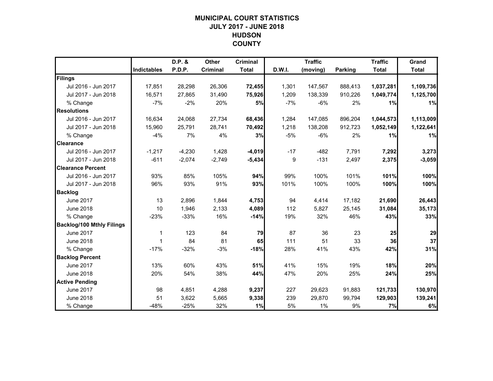# **MUNICIPAL COURT STATISTICSJULY 2017 - JUNE 2018 HUDSON COUNTY**

|                                  |                    | D.P. &   | Other    | <b>Criminal</b> |        | <b>Traffic</b> |                | <b>Traffic</b> | Grand        |
|----------------------------------|--------------------|----------|----------|-----------------|--------|----------------|----------------|----------------|--------------|
|                                  | <b>Indictables</b> | P.D.P.   | Criminal | <b>Total</b>    | D.W.I. | (moving)       | <b>Parking</b> | <b>Total</b>   | <b>Total</b> |
| Filings                          |                    |          |          |                 |        |                |                |                |              |
| Jul 2016 - Jun 2017              | 17,851             | 28,298   | 26,306   | 72,455          | 1,301  | 147,567        | 888,413        | 1,037,281      | 1,109,736    |
| Jul 2017 - Jun 2018              | 16,571             | 27.865   | 31,490   | 75,926          | 1,209  | 138,339        | 910,226        | 1,049,774      | 1,125,700    |
| % Change                         | $-7%$              | $-2%$    | 20%      | 5%              | $-7%$  | $-6%$          | 2%             | 1%             | 1%           |
| <b>Resolutions</b>               |                    |          |          |                 |        |                |                |                |              |
| Jul 2016 - Jun 2017              | 16,634             | 24,068   | 27,734   | 68,436          | 1,284  | 147,085        | 896,204        | 1,044,573      | 1,113,009    |
| Jul 2017 - Jun 2018              | 15,960             | 25,791   | 28,741   | 70,492          | 1,218  | 138,208        | 912,723        | 1,052,149      | 1,122,641    |
| % Change                         | $-4%$              | 7%       | 4%       | 3%              | $-5%$  | $-6%$          | 2%             | 1%             | 1%           |
| <b>Clearance</b>                 |                    |          |          |                 |        |                |                |                |              |
| Jul 2016 - Jun 2017              | $-1,217$           | $-4,230$ | 1,428    | $-4,019$        | $-17$  | $-482$         | 7,791          | 7,292          | 3,273        |
| Jul 2017 - Jun 2018              | $-611$             | $-2,074$ | $-2,749$ | $-5,434$        | 9      | $-131$         | 2,497          | 2,375          | $-3,059$     |
| <b>Clearance Percent</b>         |                    |          |          |                 |        |                |                |                |              |
| Jul 2016 - Jun 2017              | 93%                | 85%      | 105%     | 94%             | 99%    | 100%           | 101%           | 101%           | 100%         |
| Jul 2017 - Jun 2018              | 96%                | 93%      | 91%      | 93%             | 101%   | 100%           | 100%           | 100%           | 100%         |
| <b>Backlog</b>                   |                    |          |          |                 |        |                |                |                |              |
| <b>June 2017</b>                 | 13                 | 2,896    | 1,844    | 4,753           | 94     | 4,414          | 17,182         | 21,690         | 26,443       |
| <b>June 2018</b>                 | 10                 | 1,946    | 2,133    | 4,089           | 112    | 5,827          | 25,145         | 31,084         | 35,173       |
| % Change                         | $-23%$             | $-33%$   | 16%      | $-14%$          | 19%    | 32%            | 46%            | 43%            | 33%          |
| <b>Backlog/100 Mthly Filings</b> |                    |          |          |                 |        |                |                |                |              |
| <b>June 2017</b>                 | 1                  | 123      | 84       | 79              | 87     | 36             | 23             | 25             | 29           |
| <b>June 2018</b>                 | $\mathbf 1$        | 84       | 81       | 65              | 111    | 51             | 33             | 36             | 37           |
| % Change                         | $-17%$             | $-32%$   | $-3%$    | $-18%$          | 28%    | 41%            | 43%            | 42%            | 31%          |
| <b>Backlog Percent</b>           |                    |          |          |                 |        |                |                |                |              |
| <b>June 2017</b>                 | 13%                | 60%      | 43%      | 51%             | 41%    | 15%            | 19%            | 18%            | 20%          |
| <b>June 2018</b>                 | 20%                | 54%      | 38%      | 44%             | 47%    | 20%            | 25%            | 24%            | 25%          |
| <b>Active Pending</b>            |                    |          |          |                 |        |                |                |                |              |
| <b>June 2017</b>                 | 98                 | 4,851    | 4,288    | 9,237           | 227    | 29,623         | 91,883         | 121,733        | 130,970      |
| <b>June 2018</b>                 | 51                 | 3,622    | 5,665    | 9,338           | 239    | 29,870         | 99,794         | 129,903        | 139,241      |
| % Change                         | $-48%$             | $-25%$   | 32%      | 1%              | 5%     | $1\%$          | 9%             | 7%             | 6%           |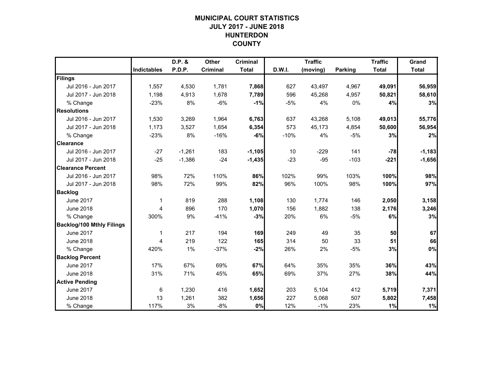# **MUNICIPAL COURT STATISTICSJULY 2017 - JUNE 2018 HUNTERDON COUNTY**

|                                  |             | D.P. &   | <b>Other</b>    | <b>Criminal</b> |        | <b>Traffic</b> |                | <b>Traffic</b> | Grand        |
|----------------------------------|-------------|----------|-----------------|-----------------|--------|----------------|----------------|----------------|--------------|
|                                  | Indictables | P.D.P.   | <b>Criminal</b> | <b>Total</b>    | D.W.I. | (moving)       | <b>Parking</b> | <b>Total</b>   | <b>Total</b> |
| Filings                          |             |          |                 |                 |        |                |                |                |              |
| Jul 2016 - Jun 2017              | 1,557       | 4,530    | 1,781           | 7,868           | 627    | 43,497         | 4,967          | 49,091         | 56,959       |
| Jul 2017 - Jun 2018              | 1,198       | 4,913    | 1,678           | 7,789           | 596    | 45,268         | 4,957          | 50,821         | 58,610       |
| % Change                         | $-23%$      | 8%       | $-6%$           | $-1%$           | $-5%$  | 4%             | 0%             | 4%             | 3%           |
| <b>Resolutions</b>               |             |          |                 |                 |        |                |                |                |              |
| Jul 2016 - Jun 2017              | 1,530       | 3,269    | 1,964           | 6,763           | 637    | 43,268         | 5,108          | 49,013         | 55,776       |
| Jul 2017 - Jun 2018              | 1,173       | 3,527    | 1,654           | 6,354           | 573    | 45,173         | 4,854          | 50,600         | 56,954       |
| % Change                         | $-23%$      | 8%       | $-16%$          | $-6%$           | $-10%$ | 4%             | $-5%$          | 3%             | 2%           |
| <b>Clearance</b>                 |             |          |                 |                 |        |                |                |                |              |
| Jul 2016 - Jun 2017              | $-27$       | $-1,261$ | 183             | $-1,105$        | 10     | $-229$         | 141            | $-78$          | $-1,183$     |
| Jul 2017 - Jun 2018              | $-25$       | $-1,386$ | $-24$           | $-1,435$        | $-23$  | $-95$          | $-103$         | $-221$         | $-1,656$     |
| <b>Clearance Percent</b>         |             |          |                 |                 |        |                |                |                |              |
| Jul 2016 - Jun 2017              | 98%         | 72%      | 110%            | 86%             | 102%   | 99%            | 103%           | 100%           | 98%          |
| Jul 2017 - Jun 2018              | 98%         | 72%      | 99%             | 82%             | 96%    | 100%           | 98%            | 100%           | 97%          |
| <b>Backlog</b>                   |             |          |                 |                 |        |                |                |                |              |
| <b>June 2017</b>                 | 1           | 819      | 288             | 1,108           | 130    | 1,774          | 146            | 2,050          | 3,158        |
| <b>June 2018</b>                 | 4           | 896      | 170             | 1,070           | 156    | 1,882          | 138            | 2,176          | 3,246        |
| % Change                         | 300%        | 9%       | $-41%$          | $-3%$           | 20%    | 6%             | $-5%$          | 6%             | 3%           |
| <b>Backlog/100 Mthly Filings</b> |             |          |                 |                 |        |                |                |                |              |
| <b>June 2017</b>                 | 1           | 217      | 194             | 169             | 249    | 49             | 35             | 50             | 67           |
| <b>June 2018</b>                 | 4           | 219      | 122             | 165             | 314    | 50             | 33             | 51             | 66           |
| % Change                         | 420%        | 1%       | $-37%$          | $-2%$           | 26%    | 2%             | $-5%$          | 3%             | 0%           |
| <b>Backlog Percent</b>           |             |          |                 |                 |        |                |                |                |              |
| <b>June 2017</b>                 | 17%         | 67%      | 69%             | 67%             | 64%    | 35%            | 35%            | 36%            | 43%          |
| <b>June 2018</b>                 | 31%         | 71%      | 45%             | 65%             | 69%    | 37%            | 27%            | 38%            | 44%          |
| <b>Active Pending</b>            |             |          |                 |                 |        |                |                |                |              |
| <b>June 2017</b>                 | 6           | 1,230    | 416             | 1,652           | 203    | 5,104          | 412            | 5,719          | 7,371        |
| <b>June 2018</b>                 | 13          | 1,261    | 382             | 1,656           | 227    | 5,068          | 507            | 5,802          | 7,458        |
| % Change                         | 117%        | 3%       | $-8%$           | 0%              | 12%    | $-1%$          | 23%            | 1%             | 1%           |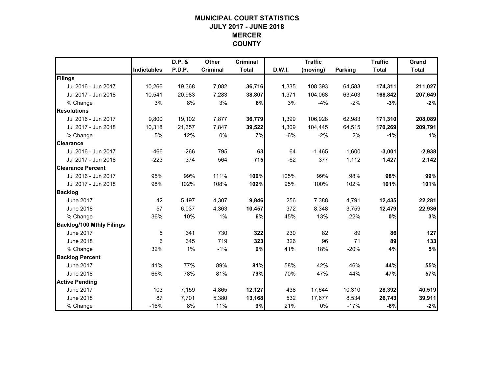# **MUNICIPAL COURT STATISTICSJULY 2017 - JUNE 2018 MERCER COUNTY**

|                                  |                    | D.P. & | <b>Other</b> | <b>Criminal</b> |        | <b>Traffic</b> |                | <b>Traffic</b> | Grand        |
|----------------------------------|--------------------|--------|--------------|-----------------|--------|----------------|----------------|----------------|--------------|
|                                  | <b>Indictables</b> | P.D.P. | Criminal     | <b>Total</b>    | D.W.I. | (moving)       | <b>Parking</b> | <b>Total</b>   | <b>Total</b> |
| Filings                          |                    |        |              |                 |        |                |                |                |              |
| Jul 2016 - Jun 2017              | 10,266             | 19,368 | 7,082        | 36,716          | 1,335  | 108,393        | 64,583         | 174,311        | 211,027      |
| Jul 2017 - Jun 2018              | 10,541             | 20,983 | 7,283        | 38,807          | 1,371  | 104,068        | 63,403         | 168,842        | 207,649      |
| % Change                         | 3%                 | 8%     | 3%           | 6%              | 3%     | $-4%$          | $-2%$          | $-3%$          | $-2%$        |
| <b>Resolutions</b>               |                    |        |              |                 |        |                |                |                |              |
| Jul 2016 - Jun 2017              | 9,800              | 19,102 | 7,877        | 36,779          | 1,399  | 106,928        | 62,983         | 171,310        | 208,089      |
| Jul 2017 - Jun 2018              | 10,318             | 21,357 | 7,847        | 39,522          | 1,309  | 104,445        | 64,515         | 170,269        | 209,791      |
| % Change                         | 5%                 | 12%    | 0%           | 7%              | $-6%$  | $-2%$          | 2%             | $-1%$          | 1%           |
| <b>Clearance</b>                 |                    |        |              |                 |        |                |                |                |              |
| Jul 2016 - Jun 2017              | $-466$             | $-266$ | 795          | 63              | 64     | $-1,465$       | $-1,600$       | $-3,001$       | $-2,938$     |
| Jul 2017 - Jun 2018              | $-223$             | 374    | 564          | 715             | $-62$  | 377            | 1,112          | 1,427          | 2,142        |
| <b>Clearance Percent</b>         |                    |        |              |                 |        |                |                |                |              |
| Jul 2016 - Jun 2017              | 95%                | 99%    | 111%         | 100%            | 105%   | 99%            | 98%            | 98%            | 99%          |
| Jul 2017 - Jun 2018              | 98%                | 102%   | 108%         | 102%            | 95%    | 100%           | 102%           | 101%           | 101%         |
| <b>Backlog</b>                   |                    |        |              |                 |        |                |                |                |              |
| <b>June 2017</b>                 | 42                 | 5,497  | 4,307        | 9,846           | 256    | 7,388          | 4,791          | 12,435         | 22,281       |
| <b>June 2018</b>                 | 57                 | 6,037  | 4,363        | 10,457          | 372    | 8,348          | 3,759          | 12,479         | 22,936       |
| % Change                         | 36%                | 10%    | 1%           | 6%              | 45%    | 13%            | $-22%$         | 0%             | 3%           |
| <b>Backlog/100 Mthly Filings</b> |                    |        |              |                 |        |                |                |                |              |
| <b>June 2017</b>                 | 5                  | 341    | 730          | 322             | 230    | 82             | 89             | 86             | 127          |
| <b>June 2018</b>                 | 6                  | 345    | 719          | 323             | 326    | 96             | 71             | 89             | 133          |
| % Change                         | 32%                | 1%     | $-1%$        | 0%              | 41%    | 18%            | $-20%$         | 4%             | 5%           |
| <b>Backlog Percent</b>           |                    |        |              |                 |        |                |                |                |              |
| <b>June 2017</b>                 | 41%                | 77%    | 89%          | 81%             | 58%    | 42%            | 46%            | 44%            | 55%          |
| <b>June 2018</b>                 | 66%                | 78%    | 81%          | 79%             | 70%    | 47%            | 44%            | 47%            | 57%          |
| <b>Active Pending</b>            |                    |        |              |                 |        |                |                |                |              |
| <b>June 2017</b>                 | 103                | 7,159  | 4,865        | 12,127          | 438    | 17,644         | 10,310         | 28,392         | 40,519       |
| <b>June 2018</b>                 | 87                 | 7,701  | 5,380        | 13,168          | 532    | 17,677         | 8,534          | 26,743         | 39,911       |
| % Change                         | $-16%$             | 8%     | 11%          | 9%              | 21%    | 0%             | $-17%$         | $-6%$          | $-2%$        |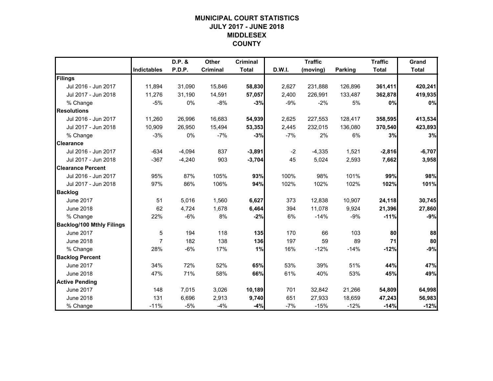# **MUNICIPAL COURT STATISTICSJULY 2017 - JUNE 2018 MIDDLESEX COUNTY**

|                                  |                    | D.P. &   | <b>Other</b> | <b>Criminal</b> |        | <b>Traffic</b> |                | <b>Traffic</b> | Grand        |
|----------------------------------|--------------------|----------|--------------|-----------------|--------|----------------|----------------|----------------|--------------|
|                                  | <b>Indictables</b> | P.D.P.   | Criminal     | <b>Total</b>    | D.W.I. | (moving)       | <b>Parking</b> | <b>Total</b>   | <b>Total</b> |
| Filings                          |                    |          |              |                 |        |                |                |                |              |
| Jul 2016 - Jun 2017              | 11,894             | 31,090   | 15,846       | 58,830          | 2,627  | 231,888        | 126,896        | 361,411        | 420,241      |
| Jul 2017 - Jun 2018              | 11,276             | 31,190   | 14,591       | 57,057          | 2,400  | 226,991        | 133,487        | 362,878        | 419,935      |
| % Change                         | $-5%$              | 0%       | $-8%$        | $-3%$           | $-9%$  | $-2%$          | 5%             | 0%             | 0%           |
| <b>Resolutions</b>               |                    |          |              |                 |        |                |                |                |              |
| Jul 2016 - Jun 2017              | 11,260             | 26,996   | 16,683       | 54,939          | 2,625  | 227,553        | 128,417        | 358,595        | 413,534      |
| Jul 2017 - Jun 2018              | 10,909             | 26,950   | 15,494       | 53,353          | 2,445  | 232,015        | 136,080        | 370,540        | 423,893      |
| % Change                         | $-3%$              | 0%       | $-7%$        | $-3%$           | $-7%$  | 2%             | 6%             | 3%             | 3%           |
| <b>Clearance</b>                 |                    |          |              |                 |        |                |                |                |              |
| Jul 2016 - Jun 2017              | $-634$             | $-4,094$ | 837          | $-3,891$        | $-2$   | $-4,335$       | 1,521          | $-2,816$       | $-6,707$     |
| Jul 2017 - Jun 2018              | $-367$             | $-4,240$ | 903          | $-3,704$        | 45     | 5,024          | 2,593          | 7,662          | 3,958        |
| <b>Clearance Percent</b>         |                    |          |              |                 |        |                |                |                |              |
| Jul 2016 - Jun 2017              | 95%                | 87%      | 105%         | 93%             | 100%   | 98%            | 101%           | 99%            | 98%          |
| Jul 2017 - Jun 2018              | 97%                | 86%      | 106%         | 94%             | 102%   | 102%           | 102%           | 102%           | 101%         |
| <b>Backlog</b>                   |                    |          |              |                 |        |                |                |                |              |
| <b>June 2017</b>                 | 51                 | 5,016    | 1,560        | 6,627           | 373    | 12,838         | 10,907         | 24,118         | 30,745       |
| <b>June 2018</b>                 | 62                 | 4,724    | 1,678        | 6,464           | 394    | 11,078         | 9,924          | 21,396         | 27,860       |
| % Change                         | 22%                | $-6%$    | 8%           | $-2%$           | 6%     | $-14%$         | $-9%$          | $-11%$         | $-9%$        |
| <b>Backlog/100 Mthly Filings</b> |                    |          |              |                 |        |                |                |                |              |
| <b>June 2017</b>                 | $\sqrt{5}$         | 194      | 118          | 135             | 170    | 66             | 103            | 80             | 88           |
| <b>June 2018</b>                 | 7                  | 182      | 138          | 136             | 197    | 59             | 89             | 71             | 80           |
| % Change                         | 28%                | $-6%$    | 17%          | 1%              | 16%    | $-12%$         | $-14%$         | $-12%$         | $-9%$        |
| <b>Backlog Percent</b>           |                    |          |              |                 |        |                |                |                |              |
| <b>June 2017</b>                 | 34%                | 72%      | 52%          | 65%             | 53%    | 39%            | 51%            | 44%            | 47%          |
| <b>June 2018</b>                 | 47%                | 71%      | 58%          | 66%             | 61%    | 40%            | 53%            | 45%            | 49%          |
| <b>Active Pending</b>            |                    |          |              |                 |        |                |                |                |              |
| <b>June 2017</b>                 | 148                | 7,015    | 3,026        | 10,189          | 701    | 32,842         | 21,266         | 54,809         | 64,998       |
| <b>June 2018</b>                 | 131                | 6,696    | 2,913        | 9,740           | 651    | 27,933         | 18,659         | 47,243         | 56,983       |
| % Change                         | $-11%$             | -5%      | $-4%$        | $-4%$           | $-7%$  | $-15%$         | $-12%$         | $-14%$         | $-12%$       |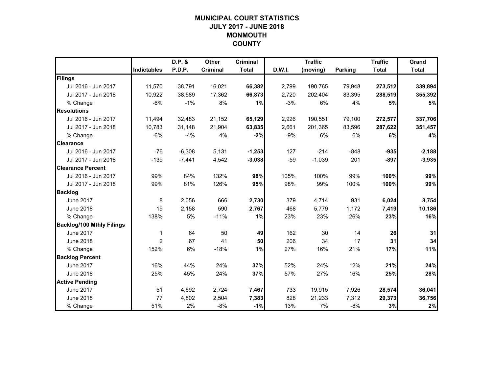# **MUNICIPAL COURT STATISTICSJULY 2017 - JUNE 2018 MONMOUTH COUNTY**

|                                  |                    | D.P. &   | <b>Other</b>    | <b>Criminal</b> |        | <b>Traffic</b> |         | <b>Traffic</b> | Grand        |
|----------------------------------|--------------------|----------|-----------------|-----------------|--------|----------------|---------|----------------|--------------|
|                                  | <b>Indictables</b> | P.D.P.   | <b>Criminal</b> | <b>Total</b>    | D.W.I. | (moving)       | Parking | <b>Total</b>   | <b>Total</b> |
| Filings                          |                    |          |                 |                 |        |                |         |                |              |
| Jul 2016 - Jun 2017              | 11,570             | 38,791   | 16,021          | 66,382          | 2,799  | 190,765        | 79,948  | 273,512        | 339,894      |
| Jul 2017 - Jun 2018              | 10.922             | 38.589   | 17,362          | 66,873          | 2,720  | 202,404        | 83,395  | 288,519        | 355,392      |
| % Change                         | $-6%$              | $-1%$    | 8%              | 1%              | $-3%$  | 6%             | 4%      | 5%             | 5%           |
| <b>Resolutions</b>               |                    |          |                 |                 |        |                |         |                |              |
| Jul 2016 - Jun 2017              | 11,494             | 32,483   | 21,152          | 65,129          | 2,926  | 190,551        | 79,100  | 272,577        | 337,706      |
| Jul 2017 - Jun 2018              | 10,783             | 31,148   | 21,904          | 63,835          | 2,661  | 201,365        | 83,596  | 287,622        | 351,457      |
| % Change                         | $-6%$              | $-4%$    | 4%              | $-2%$           | $-9%$  | 6%             | 6%      | 6%             | 4%           |
| <b>Clearance</b>                 |                    |          |                 |                 |        |                |         |                |              |
| Jul 2016 - Jun 2017              | $-76$              | $-6,308$ | 5,131           | $-1,253$        | 127    | $-214$         | $-848$  | $-935$         | $-2,188$     |
| Jul 2017 - Jun 2018              | $-139$             | $-7,441$ | 4,542           | $-3,038$        | $-59$  | $-1,039$       | 201     | $-897$         | $-3,935$     |
| <b>Clearance Percent</b>         |                    |          |                 |                 |        |                |         |                |              |
| Jul 2016 - Jun 2017              | 99%                | 84%      | 132%            | 98%             | 105%   | 100%           | 99%     | 100%           | 99%          |
| Jul 2017 - Jun 2018              | 99%                | 81%      | 126%            | 95%             | 98%    | 99%            | 100%    | 100%           | 99%          |
| <b>Backlog</b>                   |                    |          |                 |                 |        |                |         |                |              |
| <b>June 2017</b>                 | 8                  | 2,056    | 666             | 2,730           | 379    | 4,714          | 931     | 6,024          | 8,754        |
| <b>June 2018</b>                 | 19                 | 2,158    | 590             | 2,767           | 468    | 5,779          | 1,172   | 7,419          | 10,186       |
| % Change                         | 138%               | 5%       | $-11%$          | 1%              | 23%    | 23%            | 26%     | 23%            | 16%          |
| <b>Backlog/100 Mthly Filings</b> |                    |          |                 |                 |        |                |         |                |              |
| <b>June 2017</b>                 | $\mathbf 1$        | 64       | 50              | 49              | 162    | 30             | 14      | 26             | 31           |
| <b>June 2018</b>                 | $\overline{2}$     | 67       | 41              | 50              | 206    | 34             | 17      | 31             | 34           |
| % Change                         | 152%               | 6%       | $-18%$          | 1%              | 27%    | 16%            | 21%     | 17%            | 11%          |
| <b>Backlog Percent</b>           |                    |          |                 |                 |        |                |         |                |              |
| <b>June 2017</b>                 | 16%                | 44%      | 24%             | 37%             | 52%    | 24%            | 12%     | 21%            | 24%          |
| <b>June 2018</b>                 | 25%                | 45%      | 24%             | 37%             | 57%    | 27%            | 16%     | 25%            | 28%          |
| <b>Active Pending</b>            |                    |          |                 |                 |        |                |         |                |              |
| <b>June 2017</b>                 | 51                 | 4,692    | 2,724           | 7,467           | 733    | 19,915         | 7,926   | 28,574         | 36,041       |
| <b>June 2018</b>                 | 77                 | 4,802    | 2,504           | 7,383           | 828    | 21,233         | 7,312   | 29,373         | 36,756       |
| % Change                         | 51%                | 2%       | $-8%$           | $-1%$           | 13%    | 7%             | $-8%$   | 3%             | 2%           |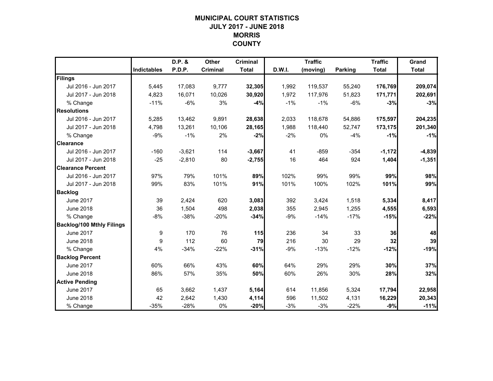## **MUNICIPAL COURT STATISTICSJULY 2017 - JUNE 2018 MORRIS COUNTY**

|                                  |                    | D.P. &   | Other    | <b>Criminal</b> |        | <b>Traffic</b> |         | <b>Traffic</b> | Grand        |
|----------------------------------|--------------------|----------|----------|-----------------|--------|----------------|---------|----------------|--------------|
|                                  | <b>Indictables</b> | P.D.P.   | Criminal | <b>Total</b>    | D.W.I. | (moving)       | Parking | <b>Total</b>   | <b>Total</b> |
| Filings                          |                    |          |          |                 |        |                |         |                |              |
| Jul 2016 - Jun 2017              | 5,445              | 17,083   | 9,777    | 32,305          | 1,992  | 119,537        | 55,240  | 176,769        | 209,074      |
| Jul 2017 - Jun 2018              | 4,823              | 16,071   | 10,026   | 30,920          | 1,972  | 117,976        | 51,823  | 171,771        | 202,691      |
| % Change                         | $-11%$             | $-6%$    | 3%       | $-4%$           | $-1%$  | $-1%$          | $-6%$   | $-3%$          | $-3%$        |
| <b>Resolutions</b>               |                    |          |          |                 |        |                |         |                |              |
| Jul 2016 - Jun 2017              | 5,285              | 13,462   | 9,891    | 28,638          | 2,033  | 118,678        | 54,886  | 175,597        | 204,235      |
| Jul 2017 - Jun 2018              | 4,798              | 13,261   | 10,106   | 28,165          | 1,988  | 118,440        | 52,747  | 173,175        | 201,340      |
| % Change                         | $-9%$              | $-1%$    | 2%       | $-2%$           | $-2%$  | 0%             | $-4%$   | $-1%$          | $-1%$        |
| <b>Clearance</b>                 |                    |          |          |                 |        |                |         |                |              |
| Jul 2016 - Jun 2017              | $-160$             | $-3,621$ | 114      | $-3,667$        | 41     | $-859$         | $-354$  | $-1,172$       | $-4,839$     |
| Jul 2017 - Jun 2018              | $-25$              | $-2,810$ | 80       | $-2,755$        | 16     | 464            | 924     | 1,404          | $-1,351$     |
| <b>Clearance Percent</b>         |                    |          |          |                 |        |                |         |                |              |
| Jul 2016 - Jun 2017              | 97%                | 79%      | 101%     | 89%             | 102%   | 99%            | 99%     | 99%            | 98%          |
| Jul 2017 - Jun 2018              | 99%                | 83%      | 101%     | 91%             | 101%   | 100%           | 102%    | 101%           | 99%          |
| <b>Backlog</b>                   |                    |          |          |                 |        |                |         |                |              |
| <b>June 2017</b>                 | 39                 | 2,424    | 620      | 3,083           | 392    | 3,424          | 1,518   | 5,334          | 8,417        |
| <b>June 2018</b>                 | 36                 | 1,504    | 498      | 2,038           | 355    | 2,945          | 1,255   | 4,555          | 6,593        |
| % Change                         | $-8%$              | $-38%$   | $-20%$   | $-34%$          | $-9%$  | $-14%$         | $-17%$  | $-15%$         | $-22%$       |
| <b>Backlog/100 Mthly Filings</b> |                    |          |          |                 |        |                |         |                |              |
| <b>June 2017</b>                 | 9                  | 170      | 76       | 115             | 236    | 34             | 33      | 36             | 48           |
| <b>June 2018</b>                 | 9                  | 112      | 60       | 79              | 216    | 30             | 29      | 32             | 39           |
| % Change                         | 4%                 | $-34%$   | $-22%$   | $-31%$          | $-9%$  | $-13%$         | $-12%$  | $-12%$         | $-19%$       |
| <b>Backlog Percent</b>           |                    |          |          |                 |        |                |         |                |              |
| <b>June 2017</b>                 | 60%                | 66%      | 43%      | 60%             | 64%    | 29%            | 29%     | 30%            | 37%          |
| <b>June 2018</b>                 | 86%                | 57%      | 35%      | 50%             | 60%    | 26%            | 30%     | 28%            | 32%          |
| <b>Active Pending</b>            |                    |          |          |                 |        |                |         |                |              |
| <b>June 2017</b>                 | 65                 | 3,662    | 1,437    | 5,164           | 614    | 11,856         | 5,324   | 17,794         | 22,958       |
| <b>June 2018</b>                 | 42                 | 2,642    | 1,430    | 4,114           | 596    | 11,502         | 4,131   | 16,229         | 20,343       |
| % Change                         | $-35%$             | $-28%$   | 0%       | $-20%$          | $-3%$  | $-3%$          | $-22%$  | $-9%$          | $-11%$       |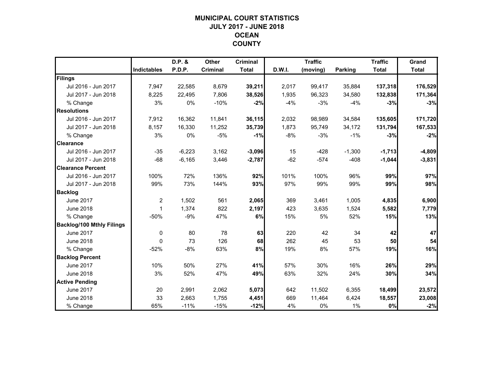## **MUNICIPAL COURT STATISTICSJULY 2017 - JUNE 2018 OCEAN COUNTY**

|                                  |                    | D.P. &   | <b>Other</b> | <b>Criminal</b> |        | <b>Traffic</b> |                | <b>Traffic</b> | Grand        |
|----------------------------------|--------------------|----------|--------------|-----------------|--------|----------------|----------------|----------------|--------------|
|                                  | <b>Indictables</b> | P.D.P.   | Criminal     | <b>Total</b>    | D.W.I. | (moving)       | <b>Parking</b> | <b>Total</b>   | <b>Total</b> |
| Filings                          |                    |          |              |                 |        |                |                |                |              |
| Jul 2016 - Jun 2017              | 7,947              | 22,585   | 8,679        | 39,211          | 2,017  | 99,417         | 35,884         | 137,318        | 176,529      |
| Jul 2017 - Jun 2018              | 8,225              | 22,495   | 7,806        | 38,526          | 1,935  | 96,323         | 34,580         | 132,838        | 171,364      |
| % Change                         | 3%                 | 0%       | $-10%$       | $-2%$           | $-4%$  | $-3%$          | $-4%$          | $-3%$          | $-3%$        |
| <b>Resolutions</b>               |                    |          |              |                 |        |                |                |                |              |
| Jul 2016 - Jun 2017              | 7,912              | 16,362   | 11,841       | 36,115          | 2,032  | 98,989         | 34,584         | 135,605        | 171,720      |
| Jul 2017 - Jun 2018              | 8,157              | 16,330   | 11,252       | 35,739          | 1,873  | 95,749         | 34,172         | 131,794        | 167,533      |
| % Change                         | 3%                 | 0%       | $-5%$        | $-1%$           | $-8%$  | $-3%$          | $-1%$          | $-3%$          | $-2%$        |
| <b>Clearance</b>                 |                    |          |              |                 |        |                |                |                |              |
| Jul 2016 - Jun 2017              | $-35$              | $-6,223$ | 3,162        | $-3,096$        | 15     | $-428$         | $-1,300$       | $-1,713$       | $-4,809$     |
| Jul 2017 - Jun 2018              | $-68$              | $-6,165$ | 3,446        | $-2,787$        | $-62$  | $-574$         | $-408$         | $-1,044$       | $-3,831$     |
| <b>Clearance Percent</b>         |                    |          |              |                 |        |                |                |                |              |
| Jul 2016 - Jun 2017              | 100%               | 72%      | 136%         | 92%             | 101%   | 100%           | 96%            | 99%            | 97%          |
| Jul 2017 - Jun 2018              | 99%                | 73%      | 144%         | 93%             | 97%    | 99%            | 99%            | 99%            | 98%          |
| <b>Backlog</b>                   |                    |          |              |                 |        |                |                |                |              |
| <b>June 2017</b>                 | $\overline{2}$     | 1,502    | 561          | 2,065           | 369    | 3,461          | 1,005          | 4,835          | 6,900        |
| <b>June 2018</b>                 | $\mathbf{1}$       | 1,374    | 822          | 2,197           | 423    | 3,635          | 1,524          | 5,582          | 7,779        |
| % Change                         | $-50%$             | $-9%$    | 47%          | 6%              | 15%    | 5%             | 52%            | 15%            | 13%          |
| <b>Backlog/100 Mthly Filings</b> |                    |          |              |                 |        |                |                |                |              |
| <b>June 2017</b>                 | $\mathbf 0$        | 80       | 78           | 63              | 220    | 42             | 34             | 42             | 47           |
| <b>June 2018</b>                 | $\Omega$           | 73       | 126          | 68              | 262    | 45             | 53             | 50             | 54           |
| % Change                         | $-52%$             | $-8%$    | 63%          | 8%              | 19%    | 8%             | 57%            | 19%            | 16%          |
| <b>Backlog Percent</b>           |                    |          |              |                 |        |                |                |                |              |
| <b>June 2017</b>                 | 10%                | 50%      | 27%          | 41%             | 57%    | 30%            | 16%            | 26%            | 29%          |
| <b>June 2018</b>                 | 3%                 | 52%      | 47%          | 49%             | 63%    | 32%            | 24%            | 30%            | 34%          |
| <b>Active Pending</b>            |                    |          |              |                 |        |                |                |                |              |
| <b>June 2017</b>                 | 20                 | 2,991    | 2,062        | 5,073           | 642    | 11,502         | 6,355          | 18,499         | 23,572       |
| <b>June 2018</b>                 | 33                 | 2,663    | 1,755        | 4,451           | 669    | 11,464         | 6,424          | 18,557         | 23,008       |
| % Change                         | 65%                | $-11%$   | $-15%$       | $-12%$          | 4%     | 0%             | $1\%$          | $0\%$          | $-2%$        |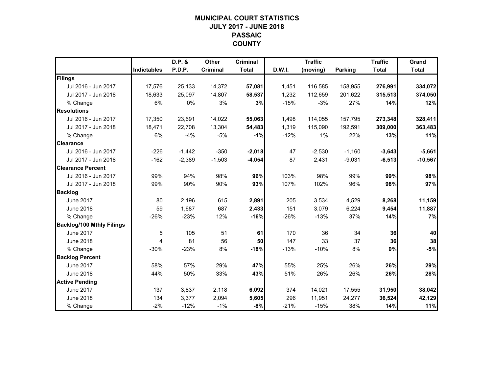## **MUNICIPAL COURT STATISTICSJULY 2017 - JUNE 2018 PASSAIC COUNTY**

|                                  |                    | D.P. &   | <b>Other</b> | <b>Criminal</b> |        | <b>Traffic</b> |                | <b>Traffic</b> | Grand        |
|----------------------------------|--------------------|----------|--------------|-----------------|--------|----------------|----------------|----------------|--------------|
|                                  | <b>Indictables</b> | P.D.P.   | Criminal     | <b>Total</b>    | D.W.I. | (moving)       | <b>Parking</b> | <b>Total</b>   | <b>Total</b> |
| Filings                          |                    |          |              |                 |        |                |                |                |              |
| Jul 2016 - Jun 2017              | 17,576             | 25,133   | 14,372       | 57,081          | 1,451  | 116,585        | 158,955        | 276,991        | 334,072      |
| Jul 2017 - Jun 2018              | 18,633             | 25.097   | 14,807       | 58,537          | 1,232  | 112,659        | 201,622        | 315,513        | 374,050      |
| % Change                         | 6%                 | 0%       | 3%           | 3%              | $-15%$ | $-3%$          | 27%            | 14%            | 12%          |
| <b>Resolutions</b>               |                    |          |              |                 |        |                |                |                |              |
| Jul 2016 - Jun 2017              | 17,350             | 23,691   | 14,022       | 55,063          | 1,498  | 114,055        | 157,795        | 273,348        | 328,411      |
| Jul 2017 - Jun 2018              | 18,471             | 22,708   | 13,304       | 54,483          | 1,319  | 115,090        | 192,591        | 309,000        | 363,483      |
| % Change                         | 6%                 | $-4%$    | $-5%$        | $-1%$           | $-12%$ | 1%             | 22%            | 13%            | 11%          |
| <b>Clearance</b>                 |                    |          |              |                 |        |                |                |                |              |
| Jul 2016 - Jun 2017              | $-226$             | $-1,442$ | $-350$       | $-2,018$        | 47     | $-2,530$       | $-1,160$       | $-3,643$       | $-5,661$     |
| Jul 2017 - Jun 2018              | $-162$             | $-2,389$ | $-1,503$     | $-4,054$        | 87     | 2,431          | $-9,031$       | $-6,513$       | $-10,567$    |
| <b>Clearance Percent</b>         |                    |          |              |                 |        |                |                |                |              |
| Jul 2016 - Jun 2017              | 99%                | 94%      | 98%          | 96%             | 103%   | 98%            | 99%            | 99%            | 98%          |
| Jul 2017 - Jun 2018              | 99%                | 90%      | 90%          | 93%             | 107%   | 102%           | 96%            | 98%            | 97%          |
| <b>Backlog</b>                   |                    |          |              |                 |        |                |                |                |              |
| <b>June 2017</b>                 | 80                 | 2,196    | 615          | 2,891           | 205    | 3,534          | 4,529          | 8,268          | 11,159       |
| <b>June 2018</b>                 | 59                 | 1,687    | 687          | 2,433           | 151    | 3,079          | 6,224          | 9,454          | 11,887       |
| % Change                         | $-26%$             | $-23%$   | 12%          | $-16%$          | $-26%$ | $-13%$         | 37%            | 14%            | 7%           |
| <b>Backlog/100 Mthly Filings</b> |                    |          |              |                 |        |                |                |                |              |
| <b>June 2017</b>                 | 5                  | 105      | 51           | 61              | 170    | 36             | 34             | 36             | 40           |
| <b>June 2018</b>                 | 4                  | 81       | 56           | 50              | 147    | 33             | 37             | 36             | 38           |
| % Change                         | $-30%$             | $-23%$   | 8%           | $-18%$          | $-13%$ | $-10%$         | 8%             | $0\%$          | $-5%$        |
| <b>Backlog Percent</b>           |                    |          |              |                 |        |                |                |                |              |
| <b>June 2017</b>                 | 58%                | 57%      | 29%          | 47%             | 55%    | 25%            | 26%            | 26%            | 29%          |
| <b>June 2018</b>                 | 44%                | 50%      | 33%          | 43%             | 51%    | 26%            | 26%            | 26%            | 28%          |
| <b>Active Pending</b>            |                    |          |              |                 |        |                |                |                |              |
| <b>June 2017</b>                 | 137                | 3,837    | 2,118        | 6,092           | 374    | 14,021         | 17,555         | 31,950         | 38,042       |
| <b>June 2018</b>                 | 134                | 3,377    | 2,094        | 5,605           | 296    | 11,951         | 24,277         | 36,524         | 42,129       |
| % Change                         | $-2%$              | $-12%$   | $-1%$        | $-8%$           | $-21%$ | $-15%$         | 38%            | 14%            | 11%          |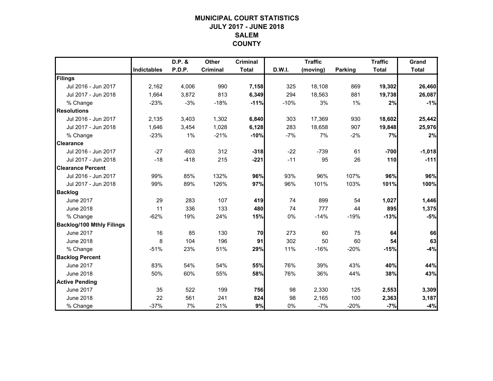## **MUNICIPAL COURT STATISTICSJULY 2017 - JUNE 2018 SALEMCOUNTY**

|                                  |             | D.P. & | <b>Other</b>    | <b>Criminal</b> |        | <b>Traffic</b> |                | <b>Traffic</b> | Grand        |
|----------------------------------|-------------|--------|-----------------|-----------------|--------|----------------|----------------|----------------|--------------|
|                                  | Indictables | P.D.P. | <b>Criminal</b> | <b>Total</b>    | D.W.I. | (moving)       | <b>Parking</b> | <b>Total</b>   | <b>Total</b> |
| Filings                          |             |        |                 |                 |        |                |                |                |              |
| Jul 2016 - Jun 2017              | 2,162       | 4,006  | 990             | 7,158           | 325    | 18,108         | 869            | 19,302         | 26,460       |
| Jul 2017 - Jun 2018              | 1,664       | 3,872  | 813             | 6,349           | 294    | 18,563         | 881            | 19,738         | 26,087       |
| % Change                         | $-23%$      | $-3%$  | $-18%$          | $-11%$          | $-10%$ | 3%             | 1%             | 2%             | $-1%$        |
| <b>Resolutions</b>               |             |        |                 |                 |        |                |                |                |              |
| Jul 2016 - Jun 2017              | 2,135       | 3,403  | 1,302           | 6,840           | 303    | 17,369         | 930            | 18,602         | 25,442       |
| Jul 2017 - Jun 2018              | 1,646       | 3,454  | 1,028           | 6,128           | 283    | 18,658         | 907            | 19,848         | 25,976       |
| % Change                         | $-23%$      | 1%     | $-21%$          | $-10%$          | $-7%$  | 7%             | $-2%$          | 7%             | 2%           |
| <b>Clearance</b>                 |             |        |                 |                 |        |                |                |                |              |
| Jul 2016 - Jun 2017              | $-27$       | $-603$ | 312             | $-318$          | $-22$  | $-739$         | 61             | $-700$         | $-1,018$     |
| Jul 2017 - Jun 2018              | $-18$       | $-418$ | 215             | $-221$          | $-11$  | 95             | 26             | 110            | $-111$       |
| <b>Clearance Percent</b>         |             |        |                 |                 |        |                |                |                |              |
| Jul 2016 - Jun 2017              | 99%         | 85%    | 132%            | 96%             | 93%    | 96%            | 107%           | 96%            | 96%          |
| Jul 2017 - Jun 2018              | 99%         | 89%    | 126%            | 97%             | 96%    | 101%           | 103%           | 101%           | 100%         |
| <b>Backlog</b>                   |             |        |                 |                 |        |                |                |                |              |
| <b>June 2017</b>                 | 29          | 283    | 107             | 419             | 74     | 899            | 54             | 1,027          | 1,446        |
| <b>June 2018</b>                 | 11          | 336    | 133             | 480             | 74     | 777            | 44             | 895            | 1,375        |
| % Change                         | $-62%$      | 19%    | 24%             | 15%             | 0%     | $-14%$         | $-19%$         | $-13%$         | $-5%$        |
| <b>Backlog/100 Mthly Filings</b> |             |        |                 |                 |        |                |                |                |              |
| <b>June 2017</b>                 | 16          | 85     | 130             | 70              | 273    | 60             | 75             | 64             | 66           |
| <b>June 2018</b>                 | 8           | 104    | 196             | 91              | 302    | 50             | 60             | 54             | 63           |
| % Change                         | $-51%$      | 23%    | 51%             | 29%             | 11%    | $-16%$         | $-20%$         | $-15%$         | $-4%$        |
| <b>Backlog Percent</b>           |             |        |                 |                 |        |                |                |                |              |
| <b>June 2017</b>                 | 83%         | 54%    | 54%             | 55%             | 76%    | 39%            | 43%            | 40%            | 44%          |
| <b>June 2018</b>                 | 50%         | 60%    | 55%             | 58%             | 76%    | 36%            | 44%            | 38%            | 43%          |
| <b>Active Pending</b>            |             |        |                 |                 |        |                |                |                |              |
| <b>June 2017</b>                 | 35          | 522    | 199             | 756             | 98     | 2,330          | 125            | 2,553          | 3,309        |
| <b>June 2018</b>                 | 22          | 561    | 241             | 824             | 98     | 2,165          | 100            | 2,363          | 3,187        |
| % Change                         | $-37%$      | 7%     | 21%             | 9%              | 0%     | $-7%$          | $-20%$         | $-7%$          | $-4%$        |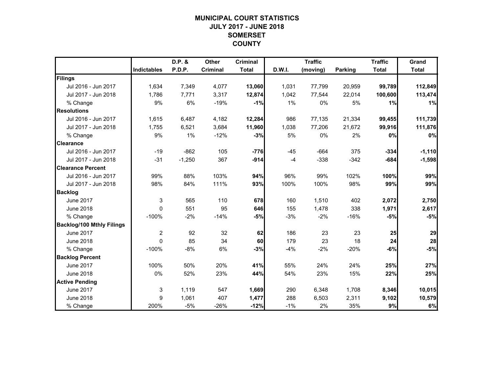# **MUNICIPAL COURT STATISTICSJULY 2017 - JUNE 2018 SOMERSET COUNTY**

|                                  |                    | D.P. &   | <b>Other</b> | <b>Criminal</b> |        | <b>Traffic</b> |                | <b>Traffic</b> | Grand        |
|----------------------------------|--------------------|----------|--------------|-----------------|--------|----------------|----------------|----------------|--------------|
|                                  | <b>Indictables</b> | P.D.P.   | Criminal     | <b>Total</b>    | D.W.I. | (moving)       | <b>Parking</b> | <b>Total</b>   | <b>Total</b> |
| Filings                          |                    |          |              |                 |        |                |                |                |              |
| Jul 2016 - Jun 2017              | 1,634              | 7,349    | 4,077        | 13,060          | 1,031  | 77,799         | 20,959         | 99,789         | 112,849      |
| Jul 2017 - Jun 2018              | 1.786              | 7,771    | 3,317        | 12,874          | 1,042  | 77,544         | 22,014         | 100,600        | 113,474      |
| % Change                         | 9%                 | 6%       | $-19%$       | $-1%$           | 1%     | 0%             | 5%             | 1%             | 1%           |
| <b>Resolutions</b>               |                    |          |              |                 |        |                |                |                |              |
| Jul 2016 - Jun 2017              | 1,615              | 6,487    | 4,182        | 12,284          | 986    | 77,135         | 21,334         | 99,455         | 111,739      |
| Jul 2017 - Jun 2018              | 1,755              | 6,521    | 3,684        | 11,960          | 1,038  | 77,206         | 21,672         | 99,916         | 111,876      |
| % Change                         | 9%                 | 1%       | $-12%$       | $-3%$           | 5%     | 0%             | 2%             | 0%             | 0%           |
| <b>Clearance</b>                 |                    |          |              |                 |        |                |                |                |              |
| Jul 2016 - Jun 2017              | $-19$              | $-862$   | 105          | $-776$          | $-45$  | $-664$         | 375            | $-334$         | $-1,110$     |
| Jul 2017 - Jun 2018              | $-31$              | $-1,250$ | 367          | $-914$          | $-4$   | $-338$         | $-342$         | $-684$         | $-1,598$     |
| <b>Clearance Percent</b>         |                    |          |              |                 |        |                |                |                |              |
| Jul 2016 - Jun 2017              | 99%                | 88%      | 103%         | 94%             | 96%    | 99%            | 102%           | 100%           | 99%          |
| Jul 2017 - Jun 2018              | 98%                | 84%      | 111%         | 93%             | 100%   | 100%           | 98%            | 99%            | 99%          |
| <b>Backlog</b>                   |                    |          |              |                 |        |                |                |                |              |
| <b>June 2017</b>                 | 3                  | 565      | 110          | 678             | 160    | 1,510          | 402            | 2,072          | 2,750        |
| <b>June 2018</b>                 | $\Omega$           | 551      | 95           | 646             | 155    | 1,478          | 338            | 1,971          | 2,617        |
| % Change                         | $-100%$            | $-2%$    | $-14%$       | $-5%$           | $-3%$  | $-2%$          | $-16%$         | $-5%$          | $-5%$        |
| <b>Backlog/100 Mthly Filings</b> |                    |          |              |                 |        |                |                |                |              |
| <b>June 2017</b>                 | $\overline{2}$     | 92       | 32           | 62              | 186    | 23             | 23             | 25             | 29           |
| <b>June 2018</b>                 | $\Omega$           | 85       | 34           | 60              | 179    | 23             | 18             | 24             | 28           |
| % Change                         | $-100%$            | $-8%$    | 6%           | $-3%$           | $-4%$  | $-2%$          | $-20%$         | $-6%$          | $-5%$        |
| <b>Backlog Percent</b>           |                    |          |              |                 |        |                |                |                |              |
| <b>June 2017</b>                 | 100%               | 50%      | 20%          | 41%             | 55%    | 24%            | 24%            | 25%            | 27%          |
| <b>June 2018</b>                 | 0%                 | 52%      | 23%          | 44%             | 54%    | 23%            | 15%            | 22%            | 25%          |
| <b>Active Pending</b>            |                    |          |              |                 |        |                |                |                |              |
| <b>June 2017</b>                 | 3                  | 1,119    | 547          | 1,669           | 290    | 6,348          | 1,708          | 8,346          | 10,015       |
| <b>June 2018</b>                 | 9                  | 1,061    | 407          | 1,477           | 288    | 6,503          | 2,311          | 9,102          | 10,579       |
| % Change                         | 200%               | -5%      | $-26%$       | $-12%$          | $-1%$  | 2%             | 35%            | 9%             | 6%           |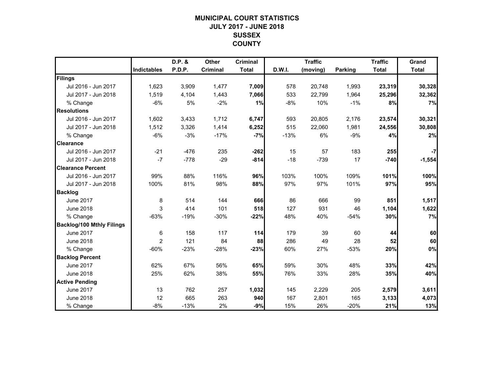## **MUNICIPAL COURT STATISTICSJULY 2017 - JUNE 2018 SUSSEX COUNTY**

|                                  |                    | D.P. & | <b>Other</b>    | <b>Criminal</b> |        | <b>Traffic</b> |                | <b>Traffic</b> | Grand        |
|----------------------------------|--------------------|--------|-----------------|-----------------|--------|----------------|----------------|----------------|--------------|
|                                  | <b>Indictables</b> | P.D.P. | <b>Criminal</b> | <b>Total</b>    | D.W.I. | (moving)       | <b>Parking</b> | <b>Total</b>   | <b>Total</b> |
| Filings                          |                    |        |                 |                 |        |                |                |                |              |
| Jul 2016 - Jun 2017              | 1,623              | 3,909  | 1,477           | 7,009           | 578    | 20,748         | 1,993          | 23,319         | 30,328       |
| Jul 2017 - Jun 2018              | 1,519              | 4,104  | 1,443           | 7,066           | 533    | 22,799         | 1,964          | 25,296         | 32,362       |
| % Change                         | $-6%$              | 5%     | $-2%$           | 1%              | $-8%$  | 10%            | $-1%$          | 8%             | 7%           |
| <b>Resolutions</b>               |                    |        |                 |                 |        |                |                |                |              |
| Jul 2016 - Jun 2017              | 1,602              | 3,433  | 1,712           | 6,747           | 593    | 20,805         | 2,176          | 23,574         | 30,321       |
| Jul 2017 - Jun 2018              | 1,512              | 3,326  | 1,414           | 6,252           | 515    | 22,060         | 1,981          | 24,556         | 30,808       |
| % Change                         | $-6%$              | $-3%$  | $-17%$          | $-7%$           | $-13%$ | 6%             | $-9%$          | 4%             | 2%           |
| <b>Clearance</b>                 |                    |        |                 |                 |        |                |                |                |              |
| Jul 2016 - Jun 2017              | $-21$              | $-476$ | 235             | $-262$          | 15     | 57             | 183            | 255            | $-7$         |
| Jul 2017 - Jun 2018              | $-7$               | $-778$ | $-29$           | $-814$          | $-18$  | $-739$         | 17             | $-740$         | $-1,554$     |
| <b>Clearance Percent</b>         |                    |        |                 |                 |        |                |                |                |              |
| Jul 2016 - Jun 2017              | 99%                | 88%    | 116%            | 96%             | 103%   | 100%           | 109%           | 101%           | 100%         |
| Jul 2017 - Jun 2018              | 100%               | 81%    | 98%             | 88%             | 97%    | 97%            | 101%           | 97%            | 95%          |
| <b>Backlog</b>                   |                    |        |                 |                 |        |                |                |                |              |
| <b>June 2017</b>                 | 8                  | 514    | 144             | 666             | 86     | 666            | 99             | 851            | 1,517        |
| <b>June 2018</b>                 | 3                  | 414    | 101             | 518             | 127    | 931            | 46             | 1,104          | 1,622        |
| % Change                         | $-63%$             | $-19%$ | $-30%$          | $-22%$          | 48%    | 40%            | $-54%$         | 30%            | 7%           |
| <b>Backlog/100 Mthly Filings</b> |                    |        |                 |                 |        |                |                |                |              |
| <b>June 2017</b>                 | 6                  | 158    | 117             | 114             | 179    | 39             | 60             | 44             | 60           |
| <b>June 2018</b>                 | $\overline{2}$     | 121    | 84              | 88              | 286    | 49             | 28             | 52             | 60           |
| % Change                         | $-60%$             | $-23%$ | $-28%$          | $-23%$          | 60%    | 27%            | $-53%$         | 20%            | 0%           |
| <b>Backlog Percent</b>           |                    |        |                 |                 |        |                |                |                |              |
| <b>June 2017</b>                 | 62%                | 67%    | 56%             | 65%             | 59%    | 30%            | 48%            | 33%            | 42%          |
| <b>June 2018</b>                 | 25%                | 62%    | 38%             | 55%             | 76%    | 33%            | 28%            | 35%            | 40%          |
| <b>Active Pending</b>            |                    |        |                 |                 |        |                |                |                |              |
| <b>June 2017</b>                 | 13                 | 762    | 257             | 1,032           | 145    | 2,229          | 205            | 2,579          | 3,611        |
| <b>June 2018</b>                 | 12                 | 665    | 263             | 940             | 167    | 2,801          | 165            | 3,133          | 4,073        |
| % Change                         | $-8%$              | $-13%$ | 2%              | $-9%$           | 15%    | 26%            | $-20%$         | 21%            | 13%          |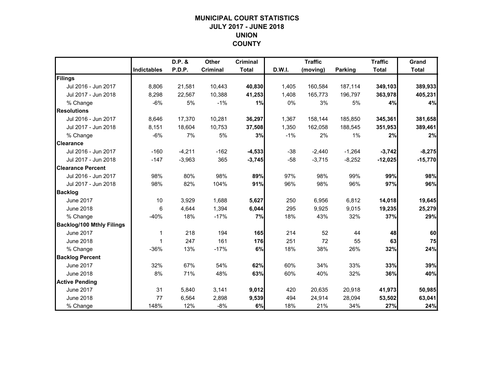## **MUNICIPAL COURT STATISTICSJULY 2017 - JUNE 2018 UNION COUNTY**

|                                  |                    | D.P. &   | <b>Other</b> | <b>Criminal</b> |        | <b>Traffic</b> |                | <b>Traffic</b> | Grand        |
|----------------------------------|--------------------|----------|--------------|-----------------|--------|----------------|----------------|----------------|--------------|
|                                  | <b>Indictables</b> | P.D.P.   | Criminal     | <b>Total</b>    | D.W.I. | (moving)       | <b>Parking</b> | <b>Total</b>   | <b>Total</b> |
| Filings                          |                    |          |              |                 |        |                |                |                |              |
| Jul 2016 - Jun 2017              | 8,806              | 21,581   | 10,443       | 40,830          | 1,405  | 160,584        | 187,114        | 349,103        | 389,933      |
| Jul 2017 - Jun 2018              | 8.298              | 22.567   | 10,388       | 41,253          | 1,408  | 165,773        | 196.797        | 363,978        | 405,231      |
| % Change                         | $-6%$              | 5%       | $-1%$        | 1%              | 0%     | 3%             | 5%             | 4%             | 4%           |
| <b>Resolutions</b>               |                    |          |              |                 |        |                |                |                |              |
| Jul 2016 - Jun 2017              | 8,646              | 17,370   | 10,281       | 36,297          | 1,367  | 158,144        | 185,850        | 345,361        | 381,658      |
| Jul 2017 - Jun 2018              | 8,151              | 18,604   | 10,753       | 37,508          | 1,350  | 162,058        | 188,545        | 351,953        | 389,461      |
| % Change                         | $-6%$              | 7%       | 5%           | 3%              | $-1%$  | 2%             | 1%             | 2%             | 2%           |
| <b>Clearance</b>                 |                    |          |              |                 |        |                |                |                |              |
| Jul 2016 - Jun 2017              | $-160$             | $-4,211$ | $-162$       | $-4,533$        | $-38$  | $-2,440$       | $-1,264$       | $-3,742$       | $-8,275$     |
| Jul 2017 - Jun 2018              | $-147$             | $-3,963$ | 365          | $-3,745$        | $-58$  | $-3,715$       | $-8,252$       | $-12,025$      | $-15,770$    |
| <b>Clearance Percent</b>         |                    |          |              |                 |        |                |                |                |              |
| Jul 2016 - Jun 2017              | 98%                | 80%      | 98%          | 89%             | 97%    | 98%            | 99%            | 99%            | 98%          |
| Jul 2017 - Jun 2018              | 98%                | 82%      | 104%         | 91%             | 96%    | 98%            | 96%            | 97%            | 96%          |
| <b>Backlog</b>                   |                    |          |              |                 |        |                |                |                |              |
| <b>June 2017</b>                 | 10                 | 3,929    | 1,688        | 5,627           | 250    | 6,956          | 6,812          | 14,018         | 19,645       |
| <b>June 2018</b>                 | 6                  | 4,644    | 1,394        | 6,044           | 295    | 9,925          | 9,015          | 19,235         | 25,279       |
| % Change                         | $-40%$             | 18%      | $-17%$       | 7%              | 18%    | 43%            | 32%            | 37%            | 29%          |
| <b>Backlog/100 Mthly Filings</b> |                    |          |              |                 |        |                |                |                |              |
| <b>June 2017</b>                 | $\mathbf 1$        | 218      | 194          | 165             | 214    | 52             | 44             | 48             | 60           |
| <b>June 2018</b>                 | -1                 | 247      | 161          | 176             | 251    | 72             | 55             | 63             | 75           |
| % Change                         | $-36%$             | 13%      | $-17%$       | 6%              | 18%    | 38%            | 26%            | 32%            | 24%          |
| <b>Backlog Percent</b>           |                    |          |              |                 |        |                |                |                |              |
| <b>June 2017</b>                 | 32%                | 67%      | 54%          | 62%             | 60%    | 34%            | 33%            | 33%            | 39%          |
| <b>June 2018</b>                 | 8%                 | 71%      | 48%          | 63%             | 60%    | 40%            | 32%            | 36%            | 40%          |
| <b>Active Pending</b>            |                    |          |              |                 |        |                |                |                |              |
| <b>June 2017</b>                 | 31                 | 5,840    | 3,141        | 9,012           | 420    | 20,635         | 20,918         | 41,973         | 50,985       |
| <b>June 2018</b>                 | 77                 | 6,564    | 2,898        | 9,539           | 494    | 24,914         | 28,094         | 53,502         | 63,041       |
| % Change                         | 148%               | 12%      | $-8%$        | 6%              | 18%    | 21%            | 34%            | 27%            | 24%          |